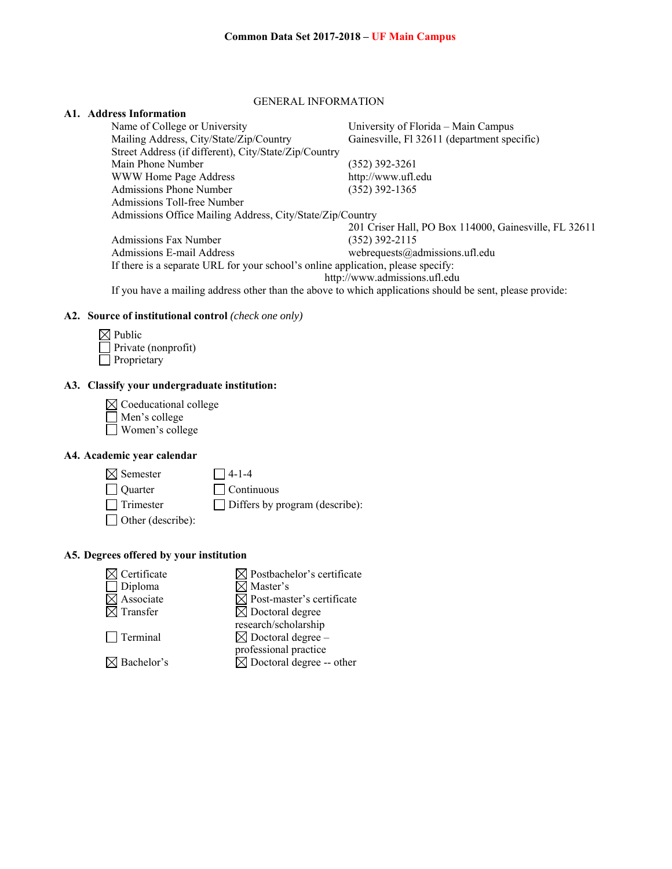#### GENERAL INFORMATION

## **A1. Address Information**

| Name of College or University                                                                            | University of Florida – Main Campus                   |
|----------------------------------------------------------------------------------------------------------|-------------------------------------------------------|
| Mailing Address, City/State/Zip/Country                                                                  | Gainesville, Fl 32611 (department specific)           |
| Street Address (if different), City/State/Zip/Country                                                    |                                                       |
| Main Phone Number                                                                                        | (352) 392-3261                                        |
| WWW Home Page Address                                                                                    | http://www.ufl.edu                                    |
| Admissions Phone Number                                                                                  | $(352)$ 392-1365                                      |
| Admissions Toll-free Number                                                                              |                                                       |
| Admissions Office Mailing Address, City/State/Zip/Country                                                |                                                       |
|                                                                                                          | 201 Criser Hall, PO Box 114000, Gainesville, FL 32611 |
| <b>Admissions Fax Number</b>                                                                             | (352) 392-2115                                        |
| Admissions E-mail Address                                                                                | webrequests@admissions.ufl.edu                        |
| If there is a separate URL for your school's online application, please specify:                         |                                                       |
|                                                                                                          | http://www.admissions.ufl.edu                         |
| If you have a mailing address other than the above to which applications should be sent, please provide: |                                                       |

#### **A2. Source of institutional control** *(check one only)*

| $\boxtimes$ Public         |
|----------------------------|
| $\Box$ Private (nonprofit) |
| $\Box$ Proprietary         |

## **A3. Classify your undergraduate institution:**

| $\boxtimes$ Coeducational college |
|-----------------------------------|
| $\Box$ Men's college              |
| Women's college                   |

# **A4. Academic year calendar**

| $\boxtimes$ Semester     | $\Box$ 4-1-4                          |
|--------------------------|---------------------------------------|
| $\Box$ Quarter           | $\Box$ Continuous                     |
| $\Box$ Trimester         | $\Box$ Differs by program (describe): |
| $\Box$ Other (describe): |                                       |

## **A5. Degrees offered by your institution**

| $\boxtimes$ Certificate | $\boxtimes$ Postbachelor's certificate |
|-------------------------|----------------------------------------|
| $\Box$ Diploma          | $\boxtimes$ Master's                   |
| $\boxtimes$ Associate   | $\boxtimes$ Post-master's certificate  |
| $\boxtimes$ Transfer    | $\boxtimes$ Doctoral degree            |
|                         | research/scholarship                   |
| $\Box$ Terminal         | $\boxtimes$ Doctoral degree –          |
|                         | professional practice                  |
| $\boxtimes$ Bachelor's  | $\boxtimes$ Doctoral degree -- other   |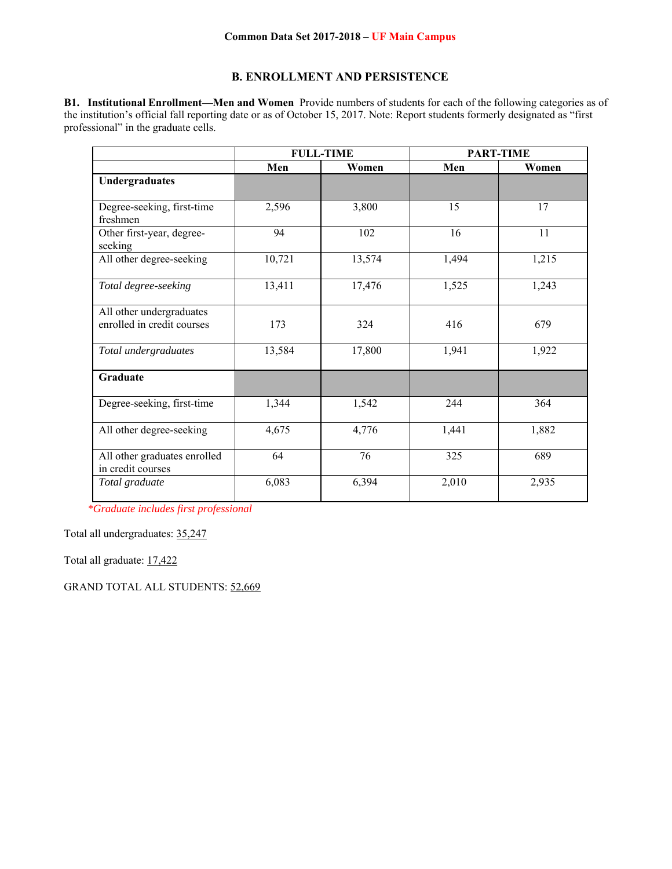## **B. ENROLLMENT AND PERSISTENCE**

**B1. Institutional Enrollment—Men and Women** Provide numbers of students for each of the following categories as of the institution's official fall reporting date or as of October 15, 2017. Note: Report students formerly designated as "first professional" in the graduate cells.

|                                                        | <b>FULL-TIME</b> |        | <b>PART-TIME</b> |       |
|--------------------------------------------------------|------------------|--------|------------------|-------|
|                                                        | Men              | Women  | Men              | Women |
| Undergraduates                                         |                  |        |                  |       |
| Degree-seeking, first-time<br>freshmen                 | 2,596            | 3,800  | 15               | 17    |
| Other first-year, degree-<br>seeking                   | 94               | 102    | 16               | 11    |
| All other degree-seeking                               | 10,721           | 13,574 | 1,494            | 1,215 |
| Total degree-seeking                                   | 13,411           | 17,476 | 1,525            | 1,243 |
| All other undergraduates<br>enrolled in credit courses | 173              | 324    | 416              | 679   |
| Total undergraduates                                   | 13,584           | 17,800 | 1,941            | 1,922 |
| Graduate                                               |                  |        |                  |       |
| Degree-seeking, first-time                             | 1,344            | 1,542  | 244              | 364   |
| All other degree-seeking                               | 4,675            | 4,776  | 1,441            | 1,882 |
| All other graduates enrolled<br>in credit courses      | 64               | 76     | 325              | 689   |
| Total graduate                                         | 6,083            | 6,394  | 2,010            | 2,935 |

*\*Graduate includes first professional*

Total all undergraduates: 35,247

Total all graduate: 17,422

GRAND TOTAL ALL STUDENTS: 52,669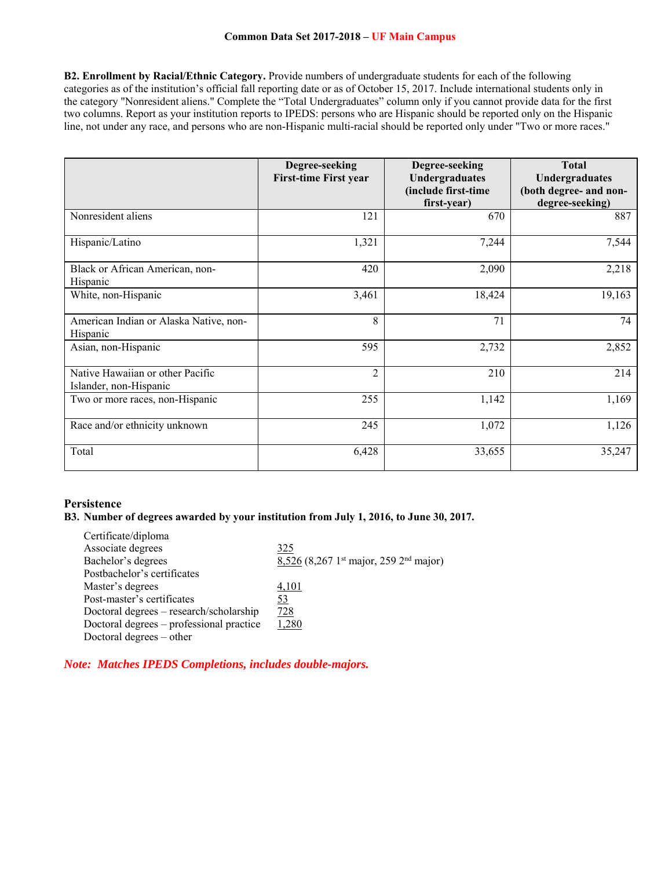**B2. Enrollment by Racial/Ethnic Category.** Provide numbers of undergraduate students for each of the following categories as of the institution's official fall reporting date or as of October 15, 2017. Include international students only in the category "Nonresident aliens." Complete the "Total Undergraduates" column only if you cannot provide data for the first two columns. Report as your institution reports to IPEDS: persons who are Hispanic should be reported only on the Hispanic line, not under any race, and persons who are non-Hispanic multi-racial should be reported only under "Two or more races."

|                                                            | Degree-seeking<br><b>First-time First year</b> | Degree-seeking<br>Undergraduates<br>(include first-time<br>first-year) | <b>Total</b><br>Undergraduates<br>(both degree- and non-<br>degree-seeking) |
|------------------------------------------------------------|------------------------------------------------|------------------------------------------------------------------------|-----------------------------------------------------------------------------|
| Nonresident aliens                                         | 121                                            | 670                                                                    | 887                                                                         |
| Hispanic/Latino                                            | 1,321                                          | 7,244                                                                  | 7,544                                                                       |
| Black or African American, non-<br>Hispanic                | 420                                            | 2,090                                                                  | 2,218                                                                       |
| White, non-Hispanic                                        | 3,461                                          | 18,424                                                                 | 19,163                                                                      |
| American Indian or Alaska Native, non-<br>Hispanic         | 8                                              | 71                                                                     | 74                                                                          |
| Asian, non-Hispanic                                        | 595                                            | 2,732                                                                  | 2,852                                                                       |
| Native Hawaiian or other Pacific<br>Islander, non-Hispanic | $\overline{2}$                                 | 210                                                                    | 214                                                                         |
| Two or more races, non-Hispanic                            | 255                                            | 1,142                                                                  | 1,169                                                                       |
| Race and/or ethnicity unknown                              | 245                                            | 1,072                                                                  | 1,126                                                                       |
| Total                                                      | 6,428                                          | 33,655                                                                 | 35,247                                                                      |

## **Persistence**

## **B3. Number of degrees awarded by your institution from July 1, 2016, to June 30, 2017.**

| Certificate/diploma                      |                                                                  |
|------------------------------------------|------------------------------------------------------------------|
| Associate degrees                        | 325                                                              |
| Bachelor's degrees                       | $8,526$ (8,267 1 <sup>st</sup> major, 259 2 <sup>nd</sup> major) |
| Postbachelor's certificates              |                                                                  |
| Master's degrees                         | 4,101                                                            |
| Post-master's certificates               | 53                                                               |
| Doctoral degrees – research/scholarship  | 728                                                              |
| Doctoral degrees - professional practice | 1.280                                                            |
| Doctoral degrees $-$ other               |                                                                  |

*Note: Matches IPEDS Completions, includes double-majors.*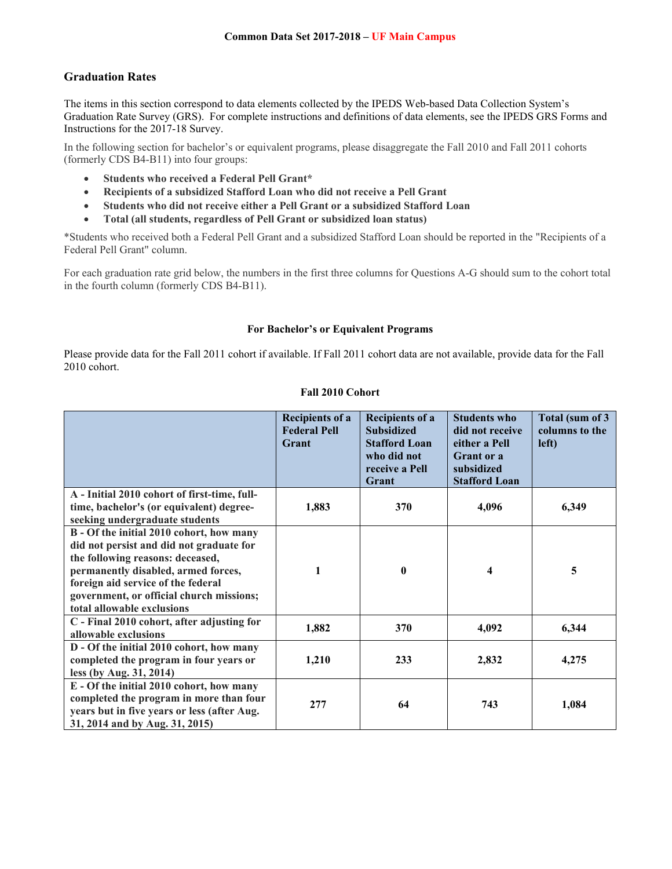# **Graduation Rates**

The items in this section correspond to data elements collected by the IPEDS Web-based Data Collection System's Graduation Rate Survey (GRS). For complete instructions and definitions of data elements, see the IPEDS GRS Forms and Instructions for the 2017-18 Survey.

In the following section for bachelor's or equivalent programs, please disaggregate the Fall 2010 and Fall 2011 cohorts (formerly CDS B4-B11) into four groups:

- **Students who received a Federal Pell Grant\***
- **Recipients of a subsidized Stafford Loan who did not receive a Pell Grant**
- **Students who did not receive either a Pell Grant or a subsidized Stafford Loan**
- **Total (all students, regardless of Pell Grant or subsidized loan status)**

\*Students who received both a Federal Pell Grant and a subsidized Stafford Loan should be reported in the "Recipients of a Federal Pell Grant" column.

For each graduation rate grid below, the numbers in the first three columns for Questions A-G should sum to the cohort total in the fourth column (formerly CDS B4-B11).

## **For Bachelor's or Equivalent Programs**

Please provide data for the Fall 2011 cohort if available. If Fall 2011 cohort data are not available, provide data for the Fall 2010 cohort.

## **Fall 2010 Cohort**

|                                                                                                                                                                                                                                                                                 | <b>Recipients of a</b><br><b>Federal Pell</b><br>Grant | <b>Recipients of a</b><br><b>Subsidized</b><br><b>Stafford Loan</b><br>who did not<br>receive a Pell<br>Grant | <b>Students who</b><br>did not receive<br>either a Pell<br><b>Grant</b> or a<br>subsidized<br><b>Stafford Loan</b> | Total (sum of 3<br>columns to the<br>left) |
|---------------------------------------------------------------------------------------------------------------------------------------------------------------------------------------------------------------------------------------------------------------------------------|--------------------------------------------------------|---------------------------------------------------------------------------------------------------------------|--------------------------------------------------------------------------------------------------------------------|--------------------------------------------|
| A - Initial 2010 cohort of first-time, full-<br>time, bachelor's (or equivalent) degree-                                                                                                                                                                                        | 1,883                                                  | 370                                                                                                           | 4,096                                                                                                              | 6,349                                      |
| seeking undergraduate students                                                                                                                                                                                                                                                  |                                                        |                                                                                                               |                                                                                                                    |                                            |
| B - Of the initial 2010 cohort, how many<br>did not persist and did not graduate for<br>the following reasons: deceased,<br>permanently disabled, armed forces,<br>foreign aid service of the federal<br>government, or official church missions;<br>total allowable exclusions | 1                                                      | $\bf{0}$                                                                                                      | 4                                                                                                                  | 5                                          |
| C - Final 2010 cohort, after adjusting for<br>allowable exclusions                                                                                                                                                                                                              | 1,882                                                  | 370                                                                                                           | 4,092                                                                                                              | 6,344                                      |
| D - Of the initial 2010 cohort, how many<br>completed the program in four years or<br>less (by Aug. 31, 2014)                                                                                                                                                                   | 1,210                                                  | 233                                                                                                           | 2,832                                                                                                              | 4,275                                      |
| E - Of the initial 2010 cohort, how many<br>completed the program in more than four<br>years but in five years or less (after Aug.<br>31, 2014 and by Aug. 31, 2015)                                                                                                            | 277                                                    | 64                                                                                                            | 743                                                                                                                | 1,084                                      |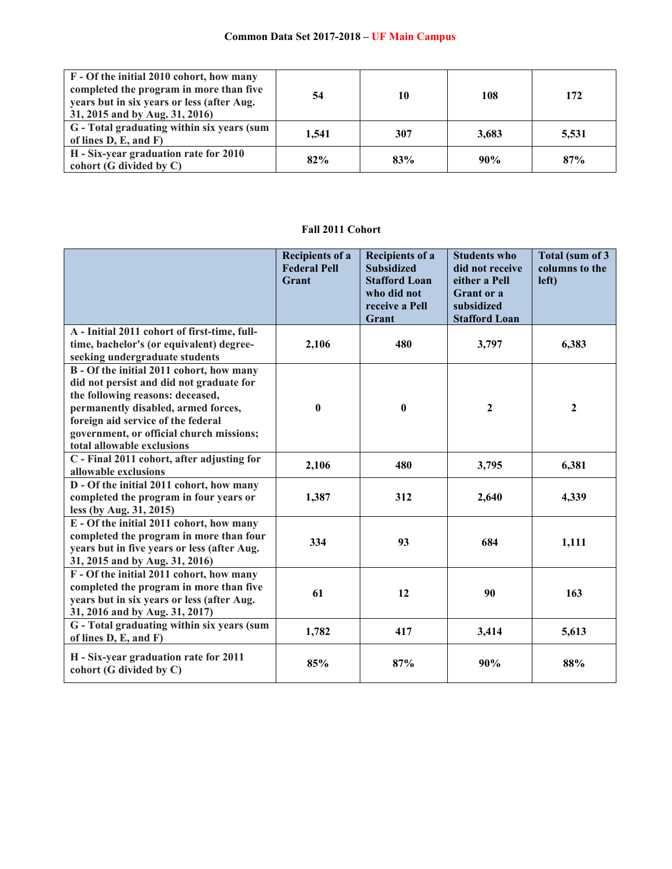| F - Of the initial 2010 cohort, how many<br>completed the program in more than five<br>years but in six years or less (after Aug.<br>31, 2015 and by Aug. 31, 2016) | 54    | 10  | 108   | 172   |
|---------------------------------------------------------------------------------------------------------------------------------------------------------------------|-------|-----|-------|-------|
| G - Total graduating within six years (sum<br>of lines $D, E, and F$                                                                                                | 1,541 | 307 | 3,683 | 5,531 |
| H - Six-year graduation rate for 2010<br>cohort (G divided by $C$ )                                                                                                 | 82%   | 83% | 90%   | 87%   |

# **Fall 2011 Cohort**

|                                                                  | <b>Recipients of a</b><br><b>Federal Pell</b><br>Grant | <b>Recipients of a</b><br><b>Subsidized</b><br><b>Stafford Loan</b><br>who did not<br>receive a Pell<br>Grant | <b>Students who</b><br>did not receive<br>either a Pell<br><b>Grant</b> or a<br>subsidized<br><b>Stafford Loan</b> | Total (sum of 3<br>columns to the<br>left) |
|------------------------------------------------------------------|--------------------------------------------------------|---------------------------------------------------------------------------------------------------------------|--------------------------------------------------------------------------------------------------------------------|--------------------------------------------|
| A - Initial 2011 cohort of first-time, full-                     |                                                        |                                                                                                               |                                                                                                                    |                                            |
| time, bachelor's (or equivalent) degree-                         | 2,106                                                  | 480                                                                                                           | 3,797                                                                                                              | 6,383                                      |
| seeking undergraduate students                                   |                                                        |                                                                                                               |                                                                                                                    |                                            |
| B - Of the initial 2011 cohort, how many                         |                                                        |                                                                                                               |                                                                                                                    |                                            |
| did not persist and did not graduate for                         |                                                        |                                                                                                               |                                                                                                                    |                                            |
| the following reasons: deceased,                                 |                                                        |                                                                                                               |                                                                                                                    |                                            |
| permanently disabled, armed forces,                              | $\pmb{0}$                                              | $\bf{0}$                                                                                                      | $\overline{2}$                                                                                                     | $\mathbf{2}$                               |
| foreign aid service of the federal                               |                                                        |                                                                                                               |                                                                                                                    |                                            |
| government, or official church missions;                         |                                                        |                                                                                                               |                                                                                                                    |                                            |
| total allowable exclusions                                       |                                                        |                                                                                                               |                                                                                                                    |                                            |
| C - Final 2011 cohort, after adjusting for                       | 2,106                                                  | 480                                                                                                           | 3,795                                                                                                              | 6,381                                      |
| allowable exclusions                                             |                                                        |                                                                                                               |                                                                                                                    |                                            |
| D - Of the initial 2011 cohort, how many                         |                                                        |                                                                                                               |                                                                                                                    |                                            |
| completed the program in four years or                           | 1,387                                                  | 312                                                                                                           | 2,640                                                                                                              | 4,339                                      |
| less (by Aug. 31, 2015)                                          |                                                        |                                                                                                               |                                                                                                                    |                                            |
| E - Of the initial 2011 cohort, how many                         |                                                        |                                                                                                               |                                                                                                                    |                                            |
| completed the program in more than four                          | 334                                                    | 93                                                                                                            | 684                                                                                                                | 1,111                                      |
| years but in five years or less (after Aug.                      |                                                        |                                                                                                               |                                                                                                                    |                                            |
| 31, 2015 and by Aug. 31, 2016)                                   |                                                        |                                                                                                               |                                                                                                                    |                                            |
| F - Of the initial 2011 cohort, how many                         |                                                        |                                                                                                               |                                                                                                                    |                                            |
| completed the program in more than five                          | 61                                                     |                                                                                                               |                                                                                                                    | 163                                        |
| years but in six years or less (after Aug.                       |                                                        | 12                                                                                                            | 90                                                                                                                 |                                            |
| 31, 2016 and by Aug. 31, 2017)                                   |                                                        |                                                                                                               |                                                                                                                    |                                            |
| G - Total graduating within six years (sum                       |                                                        |                                                                                                               |                                                                                                                    |                                            |
| of lines D, E, and F)                                            | 1,782                                                  | 417                                                                                                           | 3,414                                                                                                              | 5,613                                      |
| H - Six-year graduation rate for 2011<br>cohort (G divided by C) | 85%                                                    | 87%                                                                                                           | 90%                                                                                                                | 88%                                        |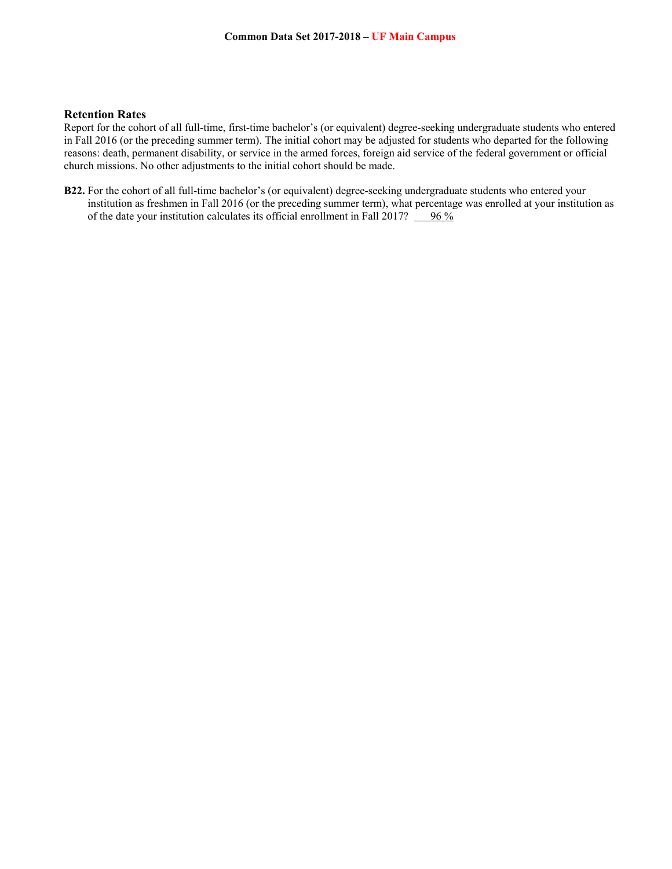## **Retention Rates**

Report for the cohort of all full-time, first-time bachelor's (or equivalent) degree-seeking undergraduate students who entered in Fall 2016 (or the preceding summer term). The initial cohort may be adjusted for students who departed for the following reasons: death, permanent disability, or service in the armed forces, foreign aid service of the federal government or official church missions. No other adjustments to the initial cohort should be made.

**B22.** For the cohort of all full-time bachelor's (or equivalent) degree-seeking undergraduate students who entered your institution as freshmen in Fall 2016 (or the preceding summer term), what percentage was enrolled at your institution as of the date your institution calculates its official enrollment in Fall 2017?  $\frac{96\%}{2}$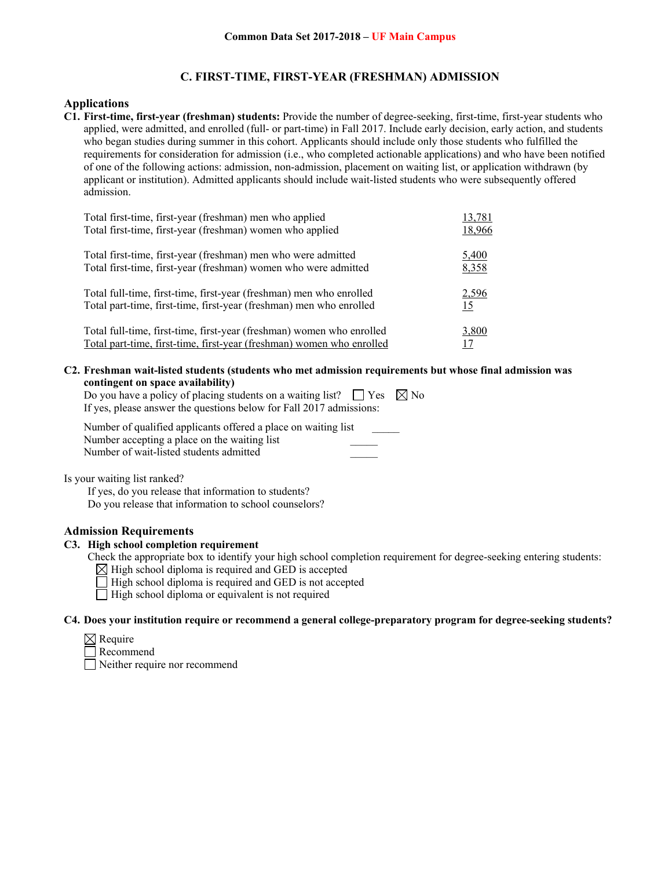## **C. FIRST-TIME, FIRST-YEAR (FRESHMAN) ADMISSION**

#### **Applications**

**C1. First-time, first-year (freshman) students:** Provide the number of degree-seeking, first-time, first-year students who applied, were admitted, and enrolled (full- or part-time) in Fall 2017. Include early decision, early action, and students who began studies during summer in this cohort. Applicants should include only those students who fulfilled the requirements for consideration for admission (i.e., who completed actionable applications) and who have been notified of one of the following actions: admission, non-admission, placement on waiting list, or application withdrawn (by applicant or institution). Admitted applicants should include wait-listed students who were subsequently offered admission.

| Total first-time, first-year (freshman) men who applied               | 13,781    |
|-----------------------------------------------------------------------|-----------|
| Total first-time, first-year (freshman) women who applied             | 18,966    |
| Total first-time, first-year (freshman) men who were admitted         | 5,400     |
| Total first-time, first-year (freshman) women who were admitted       | 8,358     |
| Total full-time, first-time, first-year (freshman) men who enrolled   | 2,596     |
| Total part-time, first-time, first-year (freshman) men who enrolled   | <u>15</u> |
| Total full-time, first-time, first-year (freshman) women who enrolled | 3,800     |
| Total part-time, first-time, first-year (freshman) women who enrolled | 17        |

**C2. Freshman wait-listed students (students who met admission requirements but whose final admission was contingent on space availability)** 

| Do you have a policy of placing students on a waiting list? $\Box$ Yes $\boxtimes$ No |  |
|---------------------------------------------------------------------------------------|--|
| If yes, please answer the questions below for Fall 2017 admissions:                   |  |

Number of qualified applicants offered a place on waiting list Number accepting a place on the waiting list Number of wait-listed students admitted \_\_\_\_\_

Is your waiting list ranked?

 If yes, do you release that information to students? Do you release that information to school counselors?

### **Admission Requirements**

#### **C3. High school completion requirement**

- Check the appropriate box to identify your high school completion requirement for degree-seeking entering students:
	- $\boxtimes$  High school diploma is required and GED is accepted
	- $\Box$  High school diploma is required and GED is not accepted
	- $\Box$  High school diploma or equivalent is not required

#### **C4. Does your institution require or recommend a general college-preparatory program for degree-seeking students?**

- $\boxtimes$  Require
- Recommend

Neither require nor recommend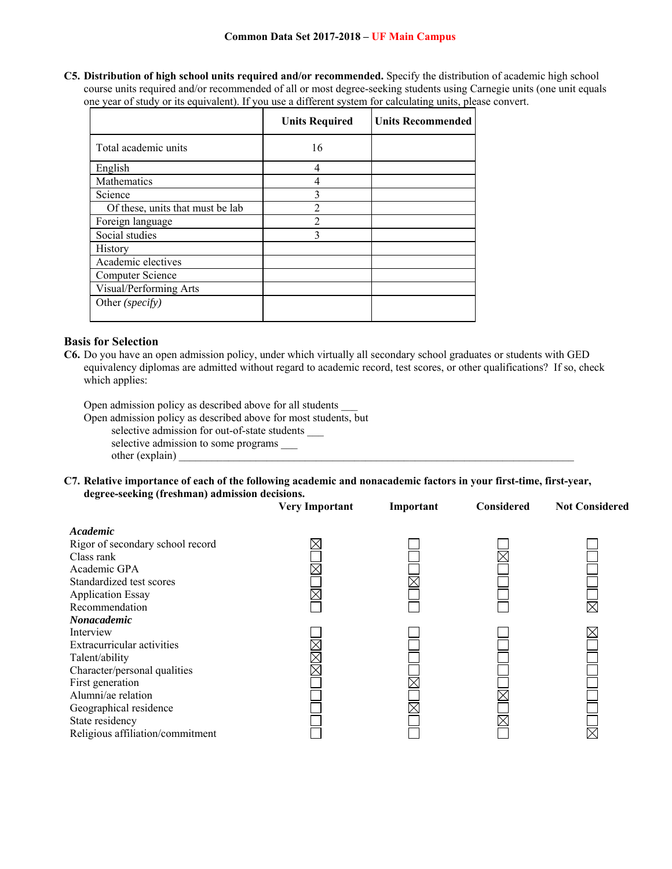**C5. Distribution of high school units required and/or recommended.** Specify the distribution of academic high school course units required and/or recommended of all or most degree-seeking students using Carnegie units (one unit equals one year of study or its equivalent). If you use a different system for calculating units, please convert.

|                                  | <b>Units Required</b> | <b>Units Recommended</b> |
|----------------------------------|-----------------------|--------------------------|
| Total academic units             | 16                    |                          |
| English                          | 4                     |                          |
| Mathematics                      |                       |                          |
| Science                          | 3                     |                          |
| Of these, units that must be lab | $\mathfrak{D}$        |                          |
| Foreign language                 | 2                     |                          |
| Social studies                   | 3                     |                          |
| History                          |                       |                          |
| Academic electives               |                       |                          |
| Computer Science                 |                       |                          |
| Visual/Performing Arts           |                       |                          |
| Other (specify)                  |                       |                          |

## **Basis for Selection**

**C6.** Do you have an open admission policy, under which virtually all secondary school graduates or students with GED equivalency diplomas are admitted without regard to academic record, test scores, or other qualifications? If so, check which applies:

Open admission policy as described above for all students \_\_\_

Open admission policy as described above for most students, but

selective admission for out-of-state students \_\_\_

selective admission to some programs \_\_\_\_ other (explain)

**C7. Relative importance of each of the following academic and nonacademic factors in your first-time, first-year, degree-seeking (freshman) admission decisions.** 

|                                  | <b>Very Important</b> | Important | Considered | <b>Not Considered</b> |
|----------------------------------|-----------------------|-----------|------------|-----------------------|
| Academic                         |                       |           |            |                       |
| Rigor of secondary school record |                       |           |            |                       |
| Class rank                       |                       |           |            |                       |
| Academic GPA                     |                       |           |            |                       |
| Standardized test scores         |                       |           |            |                       |
| <b>Application Essay</b>         |                       |           |            |                       |
| Recommendation                   |                       |           |            |                       |
| <b>Nonacademic</b>               |                       |           |            |                       |
| Interview                        |                       |           |            |                       |
| Extracurricular activities       |                       |           |            |                       |
| Talent/ability                   |                       |           |            |                       |
| Character/personal qualities     |                       |           |            |                       |
| First generation                 |                       |           |            |                       |
| Alumni/ae relation               |                       |           |            |                       |
| Geographical residence           |                       |           |            |                       |
| State residency                  |                       |           |            |                       |
| Religious affiliation/commitment |                       |           |            |                       |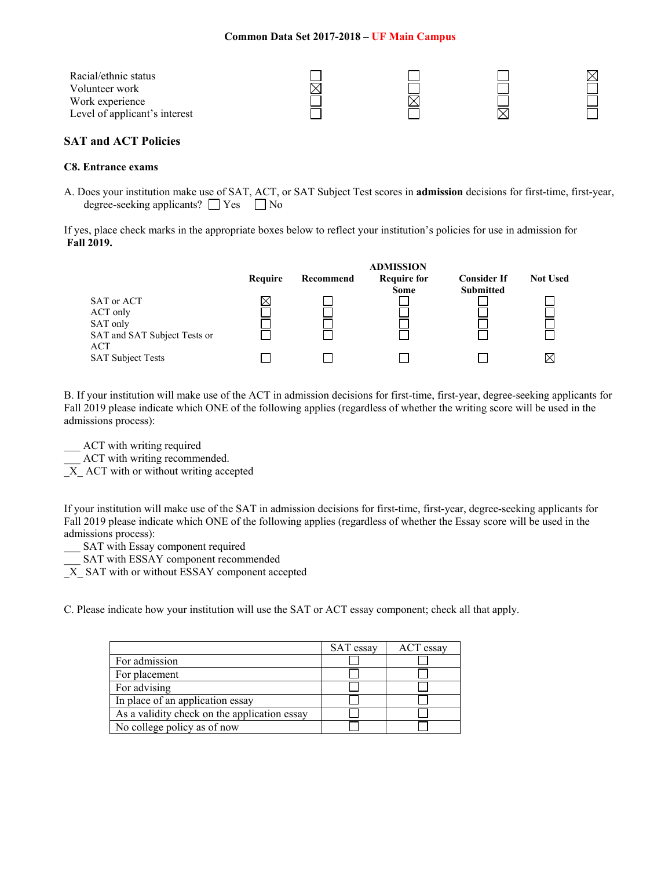| Racial/ethnic status<br>Volunteer work |  |  |
|----------------------------------------|--|--|
| Work experience                        |  |  |
| Level of applicant's interest          |  |  |

## **SAT and ACT Policies**

#### **C8. Entrance exams**

A. Does your institution make use of SAT, ACT, or SAT Subject Test scores in **admission** decisions for first-time, first-year, degree-seeking applicants?  $\Box$  Yes  $\Box$  No

If yes, place check marks in the appropriate boxes below to reflect your institution's policies for use in admission for **Fall 2019.** 

|                                                                           |         |           | <b>ADMISSION</b>                  |                                        |                 |
|---------------------------------------------------------------------------|---------|-----------|-----------------------------------|----------------------------------------|-----------------|
|                                                                           | Require | Recommend | <b>Require for</b><br><b>Some</b> | <b>Consider If</b><br><b>Submitted</b> | <b>Not Used</b> |
| SAT or ACT<br>ACT only<br>SAT only<br>SAT and SAT Subject Tests or<br>ACT | Ж       |           |                                   |                                        |                 |
| <b>SAT Subject Tests</b>                                                  |         |           |                                   |                                        |                 |

B. If your institution will make use of the ACT in admission decisions for first-time, first-year, degree-seeking applicants for Fall 2019 please indicate which ONE of the following applies (regardless of whether the writing score will be used in the admissions process):

- \_\_ ACT with writing required
- ACT with writing recommended.

 $\overline{X}$  ACT with or without writing accepted

If your institution will make use of the SAT in admission decisions for first-time, first-year, degree-seeking applicants for Fall 2019 please indicate which ONE of the following applies (regardless of whether the Essay score will be used in the admissions process):

SAT with Essay component required

SAT with ESSAY component recommended

X SAT with or without ESSAY component accepted

C. Please indicate how your institution will use the SAT or ACT essay component; check all that apply.

|                                              | SAT essay | ACT essay |
|----------------------------------------------|-----------|-----------|
| For admission                                |           |           |
| For placement                                |           |           |
| For advising                                 |           |           |
| In place of an application essay             |           |           |
| As a validity check on the application essay |           |           |
| No college policy as of now                  |           |           |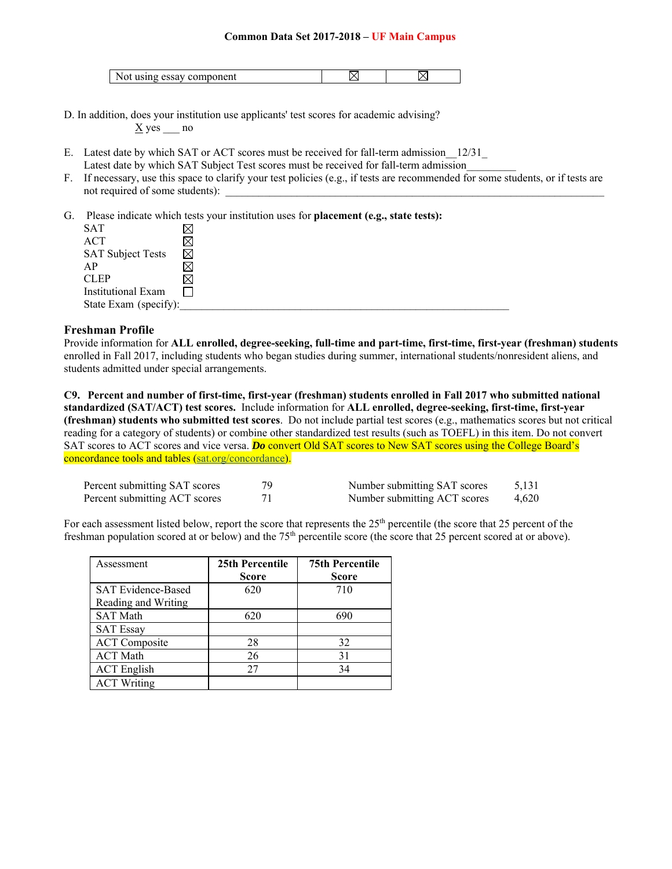| . .<br>nent<br>m<br>ν |  |  |  |
|-----------------------|--|--|--|
|-----------------------|--|--|--|

- D. In addition, does your institution use applicants' test scores for academic advising?  $\underline{X}$  yes no
- E. Latest date by which SAT or ACT scores must be received for fall-term admission\_\_12/31\_ Latest date by which SAT Subject Test scores must be received for fall-term admission
- F. If necessary, use this space to clarify your test policies (e.g., if tests are recommended for some students, or if tests are not required of some students):
- G. Please indicate which tests your institution uses for **placement (e.g., state tests):**

| SAT                      |             |
|--------------------------|-------------|
| <b>ACT</b>               |             |
| <b>SAT Subject Tests</b> | $\boxtimes$ |
| AP                       |             |
| <b>CLEP</b>              |             |
| Institutional Exam       |             |
| State Exam (specify):    |             |

#### **Freshman Profile**

Provide information for **ALL enrolled, degree-seeking, full-time and part-time, first-time, first-year (freshman) students**  enrolled in Fall 2017, including students who began studies during summer, international students/nonresident aliens, and students admitted under special arrangements.

**C9. Percent and number of first-time, first-year (freshman) students enrolled in Fall 2017 who submitted national standardized (SAT/ACT) test scores.** Include information for **ALL enrolled, degree-seeking, first-time, first-year (freshman) students who submitted test scores**. Do not include partial test scores (e.g., mathematics scores but not critical reading for a category of students) or combine other standardized test results (such as TOEFL) in this item. Do not convert SAT scores to ACT scores and vice versa. **Do** convert Old SAT scores to New SAT scores using the College Board's concordance tools and tables (sat.org/concordance).

| Percent submitting SAT scores | Number submitting SAT scores | 5,131 |
|-------------------------------|------------------------------|-------|
| Percent submitting ACT scores | Number submitting ACT scores | 4,620 |

For each assessment listed below, report the score that represents the  $25<sup>th</sup>$  percentile (the score that 25 percent of the freshman population scored at or below) and the  $75<sup>th</sup>$  percentile score (the score that 25 percent scored at or above).

| Assessment                | 25th Percentile | <b>75th Percentile</b> |
|---------------------------|-----------------|------------------------|
|                           | Score           | <b>Score</b>           |
| <b>SAT Evidence-Based</b> | 620             | 710                    |
| Reading and Writing       |                 |                        |
| <b>SAT Math</b>           | 620             | 690                    |
| <b>SAT Essay</b>          |                 |                        |
| <b>ACT</b> Composite      | 28              | 32                     |
| <b>ACT</b> Math           | 26              | 31                     |
| <b>ACT</b> English        | 27              | 34                     |
| <b>ACT Writing</b>        |                 |                        |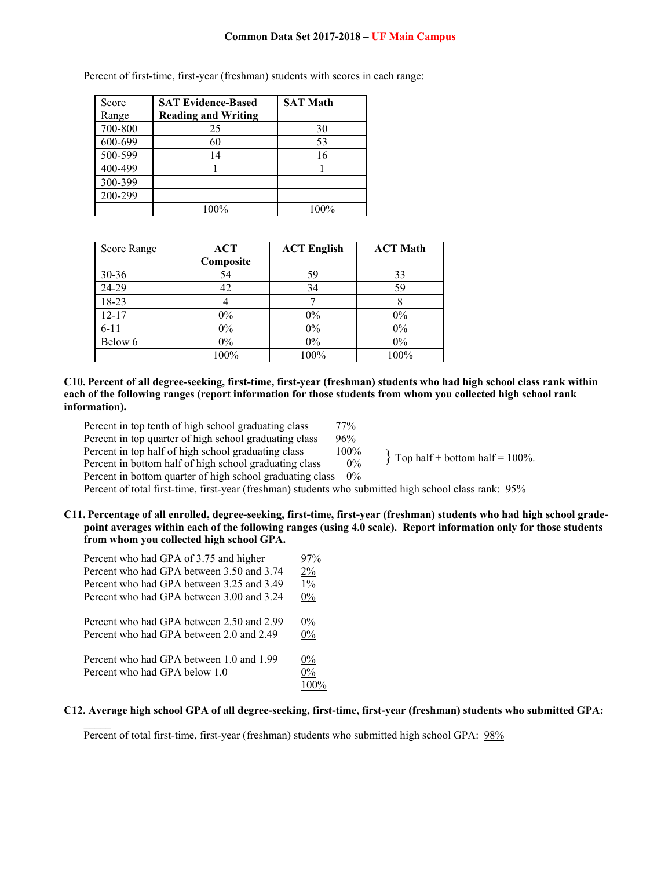| Score   | <b>SAT Evidence-Based</b>  | <b>SAT Math</b> |
|---------|----------------------------|-----------------|
| Range   | <b>Reading and Writing</b> |                 |
| 700-800 | 25                         | 30              |
| 600-699 | 60                         | 53              |
| 500-599 | 14                         | 16              |
| 400-499 |                            |                 |
| 300-399 |                            |                 |
| 200-299 |                            |                 |
|         | 100%                       | 100%            |

Percent of first-time, first-year (freshman) students with scores in each range:

| Score Range | <b>ACT</b> | <b>ACT English</b> | <b>ACT Math</b> |
|-------------|------------|--------------------|-----------------|
|             | Composite  |                    |                 |
| $30 - 36$   | 54         | 59                 | 33              |
| 24-29       | 42         | 34                 | 59              |
| 18-23       |            |                    |                 |
| $12 - 17$   | $0\%$      | $0\%$              | $0\%$           |
| $6 - 11$    | $0\%$      | $0\%$              | $0\%$           |
| Below 6     | $0\%$      | $0\%$              | $0\%$           |
|             | 100%       | 100%               | 100%            |

**C10. Percent of all degree-seeking, first-time, first-year (freshman) students who had high school class rank within each of the following ranges (report information for those students from whom you collected high school rank information).** 

| Percent in top tenth of high school graduating class<br>Percent in top quarter of high school graduating class<br>Percent in top half of high school graduating class<br>Percent in bottom half of high school graduating class | 77%<br>96%<br>100%<br>0% | $\{$ Top half + bottom half = 100%. |
|---------------------------------------------------------------------------------------------------------------------------------------------------------------------------------------------------------------------------------|--------------------------|-------------------------------------|
| Percent in bottom quarter of high school graduating class                                                                                                                                                                       | $0\%$                    |                                     |
|                                                                                                                                                                                                                                 |                          |                                     |

Percent of total first-time, first-year (freshman) students who submitted high school class rank: 95%

**C11. Percentage of all enrolled, degree-seeking, first-time, first-year (freshman) students who had high school gradepoint averages within each of the following ranges (using 4.0 scale). Report information only for those students from whom you collected high school GPA.** 

| Percent who had GPA of 3.75 and higher    | 97%     |
|-------------------------------------------|---------|
| Percent who had GPA between 3.50 and 3.74 | 2%      |
| Percent who had GPA between 3.25 and 3.49 | $1\%$   |
| Percent who had GPA between 3.00 and 3.24 | $0\%$   |
| Percent who had GPA between 2.50 and 2.99 | $0\%$   |
| Percent who had GPA between 2.0 and 2.49  | $0\%$   |
| Percent who had GPA between 1.0 and 1.99  | $0\%$   |
| Percent who had GPA below 1.0             | $0\%$   |
|                                           | $100\%$ |

#### **C12. Average high school GPA of all degree-seeking, first-time, first-year (freshman) students who submitted GPA:**

Percent of total first-time, first-year (freshman) students who submitted high school GPA: 98%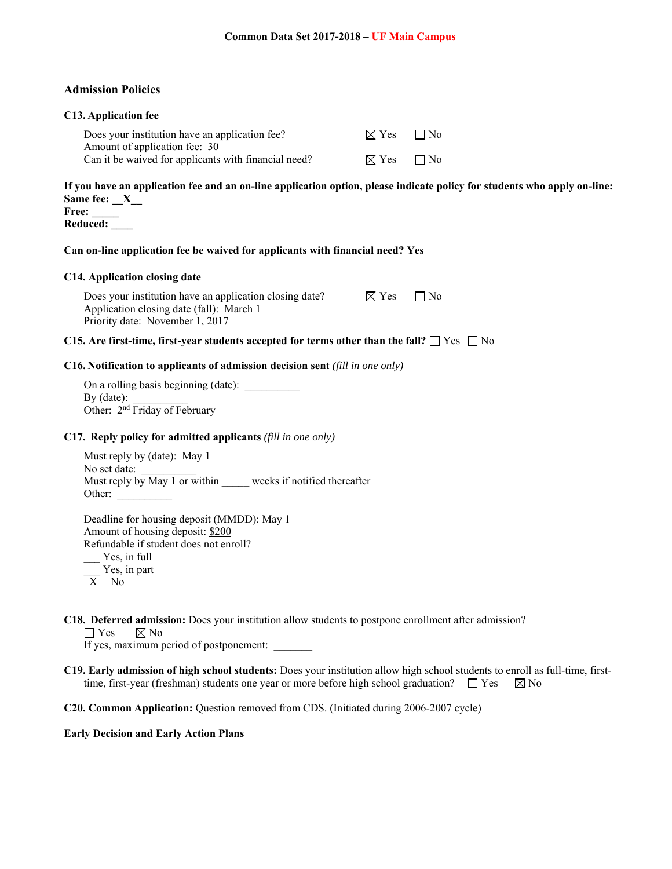#### **Admission Policies**

#### **C13. Application fee**

| Does your institution have an application fee?       | $\boxtimes$ Yes $\Box$ No |  |
|------------------------------------------------------|---------------------------|--|
| Amount of application fee: 30                        |                           |  |
| Can it be waived for applicants with financial need? | $\boxtimes$ Yes $\Box$ No |  |

**If you have an application fee and an on-line application option, please indicate policy for students who apply on-line:**  Same fee: X **Free: \_\_\_\_\_** 

**Reduced: \_\_\_\_** 

## **Can on-line application fee be waived for applicants with financial need? Yes**

#### **C14. Application closing date**

Does your institution have an application closing date?  $\boxtimes$  Yes  $\Box$  No Application closing date (fall): March 1 Priority date: November 1, 2017

## **C15. Are first-time, first-year students accepted for terms other than the fall?**  $\Box$  Yes  $\Box$  No

#### **C16. Notification to applicants of admission decision sent** *(fill in one only)*

On a rolling basis beginning (date): \_\_\_\_\_\_\_\_\_\_ By (date): Other: 2<sup>nd</sup> Friday of February

#### **C17. Reply policy for admitted applicants** *(fill in one only)*

Must reply by (date): May 1 No set date: Must reply by May 1 or within weeks if notified thereafter Other:

Deadline for housing deposit (MMDD): May 1 Amount of housing deposit: \$200 Refundable if student does not enroll? \_\_\_ Yes, in full \_\_\_ Yes, in part X No

**C18. Deferred admission:** Does your institution allow students to postpone enrollment after admission?

 $\Box$  Yes  $\boxtimes$  No

If yes, maximum period of postponement:

**C19. Early admission of high school students:** Does your institution allow high school students to enroll as full-time, firsttime, first-year (freshman) students one year or more before high school graduation?  $\Box$  Yes  $\boxtimes$  No

**C20. Common Application:** Question removed from CDS. (Initiated during 2006-2007 cycle)

#### **Early Decision and Early Action Plans**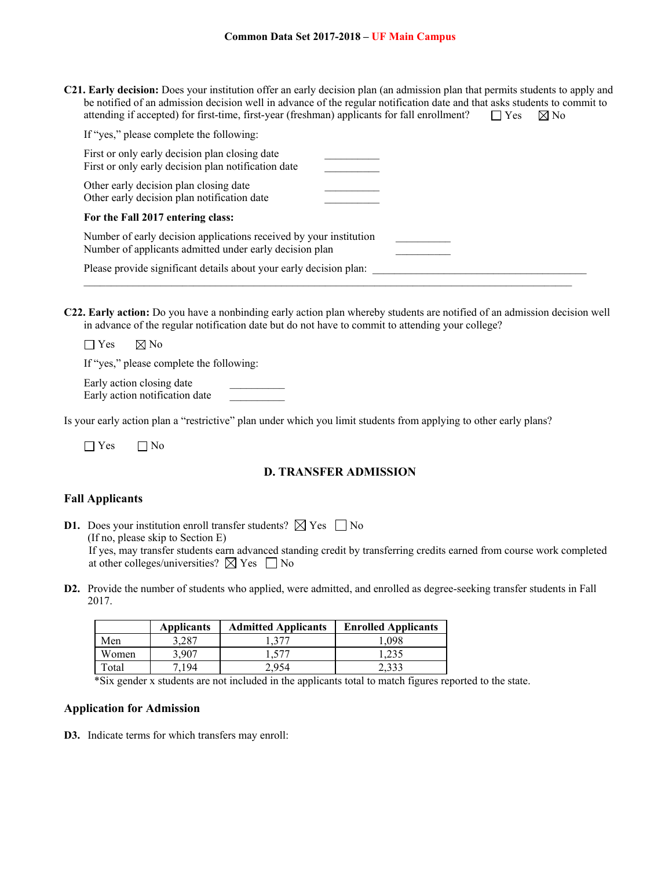**C21. Early decision:** Does your institution offer an early decision plan (an admission plan that permits students to apply and be notified of an admission decision well in advance of the regular notification date and that asks students to commit to attending if accepted) for first-time, first-year (freshman) applicants for fall enrollment?  $\square$  Yes  $\boxtimes$  No

| If "yes," please complete the following:                                                                                      |  |
|-------------------------------------------------------------------------------------------------------------------------------|--|
| First or only early decision plan closing date<br>First or only early decision plan notification date                         |  |
| Other early decision plan closing date<br>Other early decision plan notification date                                         |  |
| For the Fall 2017 entering class:                                                                                             |  |
| Number of early decision applications received by your institution<br>Number of applicants admitted under early decision plan |  |
| Please provide significant details about your early decision plan:                                                            |  |

**C22. Early action:** Do you have a nonbinding early action plan whereby students are notified of an admission decision well in advance of the regular notification date but do not have to commit to attending your college?

 $\Box$  Yes  $\Box$  No

If "yes," please complete the following:

Early action closing date Early action notification date \_\_\_\_\_\_\_\_\_\_

Is your early action plan a "restrictive" plan under which you limit students from applying to other early plans?

 $\Box$  Yes  $\Box$  No

## **D. TRANSFER ADMISSION**

## **Fall Applicants**

**D1.** Does your institution enroll transfer students?  $\boxtimes$  Yes  $\Box$  No (If no, please skip to Section E)

 If yes, may transfer students earn advanced standing credit by transferring credits earned from course work completed at other colleges/universities?  $\boxtimes$  Yes  $\Box$  No

**D2.** Provide the number of students who applied, were admitted, and enrolled as degree-seeking transfer students in Fall 2017.

|       | <b>Applicants</b> | <b>Admitted Applicants</b> | <b>Enrolled Applicants</b> |
|-------|-------------------|----------------------------|----------------------------|
| Men   | 3.287             | 1,377                      | . 098                      |
| Women | 3.907             | 1,577                      | 1.235                      |
| Total | 194               | 2.954                      | 2.333                      |

\*Six gender x students are not included in the applicants total to match figures reported to the state.

### **Application for Admission**

**D3.** Indicate terms for which transfers may enroll: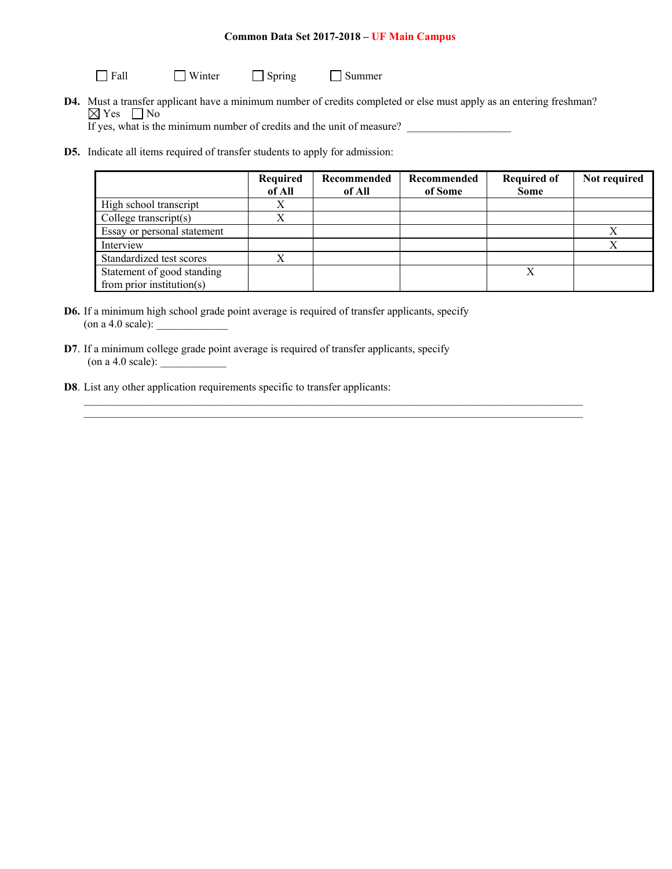Fall Winter Spring Summer

**D4.** Must a transfer applicant have a minimum number of credits completed or else must apply as an entering freshman?  $\boxtimes$  Yes  $\Box$  No

 $\mathcal{L}_\mathcal{L} = \mathcal{L}_\mathcal{L} = \mathcal{L}_\mathcal{L} = \mathcal{L}_\mathcal{L} = \mathcal{L}_\mathcal{L} = \mathcal{L}_\mathcal{L} = \mathcal{L}_\mathcal{L} = \mathcal{L}_\mathcal{L} = \mathcal{L}_\mathcal{L} = \mathcal{L}_\mathcal{L} = \mathcal{L}_\mathcal{L} = \mathcal{L}_\mathcal{L} = \mathcal{L}_\mathcal{L} = \mathcal{L}_\mathcal{L} = \mathcal{L}_\mathcal{L} = \mathcal{L}_\mathcal{L} = \mathcal{L}_\mathcal{L}$  $\mathcal{L}_\mathcal{L} = \mathcal{L}_\mathcal{L}$ 

If yes, what is the minimum number of credits and the unit of measure?

**D5.** Indicate all items required of transfer students to apply for admission:

|                             | Required<br>of All | Recommended<br>of All | Recommended<br>of Some | <b>Required of</b><br><b>Some</b> | Not required |
|-----------------------------|--------------------|-----------------------|------------------------|-----------------------------------|--------------|
| High school transcript      | Χ                  |                       |                        |                                   |              |
| College transcript $(s)$    |                    |                       |                        |                                   |              |
| Essay or personal statement |                    |                       |                        |                                   |              |
| Interview                   |                    |                       |                        |                                   |              |
| Standardized test scores    |                    |                       |                        |                                   |              |
| Statement of good standing  |                    |                       |                        |                                   |              |
| from prior institution(s)   |                    |                       |                        |                                   |              |

- **D6.** If a minimum high school grade point average is required of transfer applicants, specify (on a 4.0 scale): \_\_\_\_\_\_\_\_\_\_\_\_\_
- **D7**. If a minimum college grade point average is required of transfer applicants, specify  $($ on a 4.0 scale $):$
- **D8**. List any other application requirements specific to transfer applicants: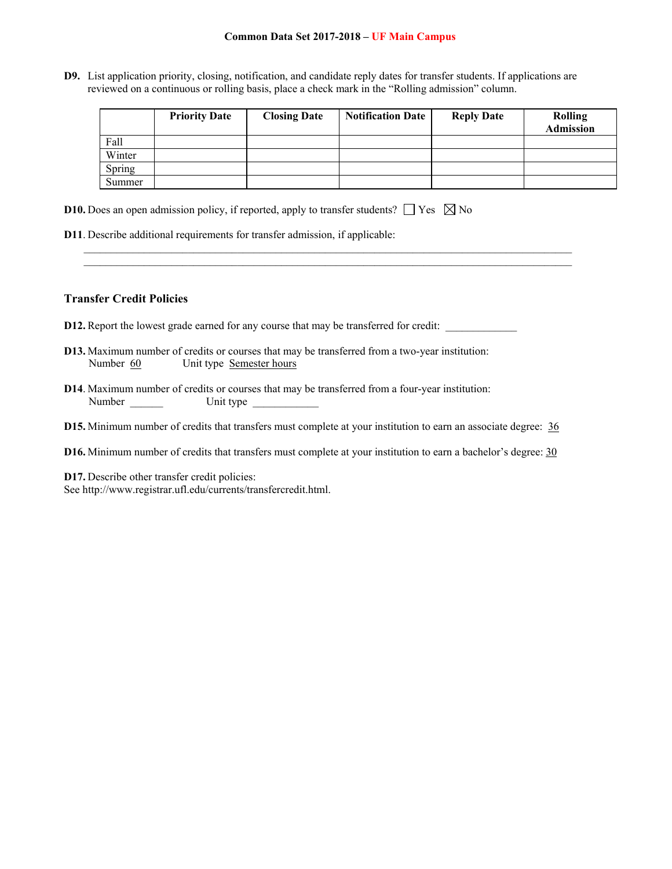**D9.** List application priority, closing, notification, and candidate reply dates for transfer students. If applications are reviewed on a continuous or rolling basis, place a check mark in the "Rolling admission" column.

 $\mathcal{L}_\mathcal{L} = \{ \mathcal{L}_\mathcal{L} = \{ \mathcal{L}_\mathcal{L} = \{ \mathcal{L}_\mathcal{L} = \{ \mathcal{L}_\mathcal{L} = \{ \mathcal{L}_\mathcal{L} = \{ \mathcal{L}_\mathcal{L} = \{ \mathcal{L}_\mathcal{L} = \{ \mathcal{L}_\mathcal{L} = \{ \mathcal{L}_\mathcal{L} = \{ \mathcal{L}_\mathcal{L} = \{ \mathcal{L}_\mathcal{L} = \{ \mathcal{L}_\mathcal{L} = \{ \mathcal{L}_\mathcal{L} = \{ \mathcal{L}_\mathcal{$  $\mathcal{L}_\mathcal{L} = \{ \mathcal{L}_\mathcal{L} = \{ \mathcal{L}_\mathcal{L} = \{ \mathcal{L}_\mathcal{L} = \{ \mathcal{L}_\mathcal{L} = \{ \mathcal{L}_\mathcal{L} = \{ \mathcal{L}_\mathcal{L} = \{ \mathcal{L}_\mathcal{L} = \{ \mathcal{L}_\mathcal{L} = \{ \mathcal{L}_\mathcal{L} = \{ \mathcal{L}_\mathcal{L} = \{ \mathcal{L}_\mathcal{L} = \{ \mathcal{L}_\mathcal{L} = \{ \mathcal{L}_\mathcal{L} = \{ \mathcal{L}_\mathcal{$ 

|        | <b>Priority Date</b> | <b>Closing Date</b> | <b>Notification Date</b> | <b>Reply Date</b> | <b>Rolling</b><br>Admission |
|--------|----------------------|---------------------|--------------------------|-------------------|-----------------------------|
| Fall   |                      |                     |                          |                   |                             |
| Winter |                      |                     |                          |                   |                             |
| Spring |                      |                     |                          |                   |                             |
| Summer |                      |                     |                          |                   |                             |

- **D10.** Does an open admission policy, if reported, apply to transfer students?  $\Box$  Yes  $\boxtimes$  No
- **D11**. Describe additional requirements for transfer admission, if applicable:

## **Transfer Credit Policies**

- D12. Report the lowest grade earned for any course that may be transferred for credit: \_\_\_\_\_\_\_\_\_\_\_\_\_
- **D13.** Maximum number of credits or courses that may be transferred from a two-year institution: Number 60 Unit type Semester hours
- **D14**. Maximum number of credits or courses that may be transferred from a four-year institution: Number \_\_\_\_\_\_ Unit type \_\_\_\_\_\_\_\_\_\_\_\_
- **D15.** Minimum number of credits that transfers must complete at your institution to earn an associate degree: 36
- **D16.** Minimum number of credits that transfers must complete at your institution to earn a bachelor's degree: 30

**D17.** Describe other transfer credit policies: See http://www.registrar.ufl.edu/currents/transfercredit.html.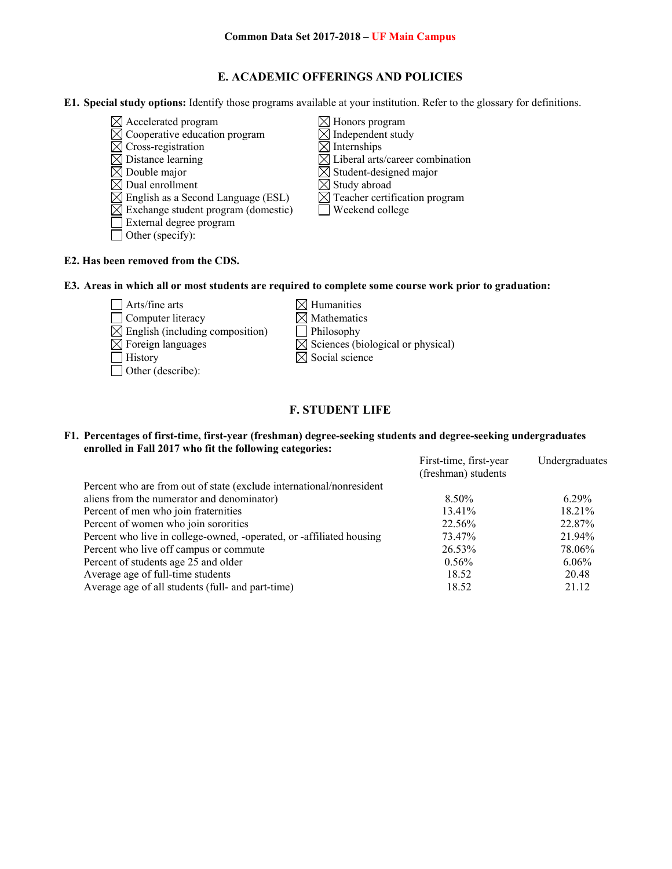# **E. ACADEMIC OFFERINGS AND POLICIES**

**E1. Special study options:** Identify those programs available at your institution. Refer to the glossary for definitions.

- $\boxtimes$  Accelerated program  $\boxtimes$  Honors program
- $\overline{\boxtimes}$  Cross-registration
- 
- 
- 
- $\boxtimes$  English as a Second Language (ESL)
- $\boxtimes$  Exchange student program (domestic)  $\Box$  Weekend college
- External degree program
- □ Other (specify):
- $\boxtimes$  Cooperative education program  $\boxtimes$  Independent study<br>  $\boxtimes$  Cross-registration  $\boxtimes$  Internships  $\boxtimes$  Distance learning  $\boxtimes$  Liberal arts/career combination  $\boxtimes$  Double major<br>  $\boxtimes$  Dual enrollment<br>  $\boxtimes$  Student-designed major<br>  $\boxtimes$  Study abroad  $\boxtimes$  Dual enrollment  $\boxtimes$  Study abroad<br>  $\boxtimes$  English as a Second Language (ESL)  $\boxtimes$  Teacher certification program
	-

# **E2. Has been removed from the CDS.**

Other (describe):

**E3. Areas in which all or most students are required to complete some course work prior to graduation:** 

- $\Box$  Arts/fine arts  $\boxtimes$  Humanities  $\Box$  Computer literacy  $\boxtimes$  Mathematics  $\boxtimes$  English (including composition)  $\Box$  Philosophy  $\boxtimes$  Foreign languages  $\boxtimes$  Sciences (biological or physical)  $\Box$  History  $\boxtimes$  Social science
	-
	-
	-

# **F. STUDENT LIFE**

## **F1. Percentages of first-time, first-year (freshman) degree-seeking students and degree-seeking undergraduates enrolled in Fall 2017 who fit the following categories:**

|                                                                      | First-time, first-year | Undergraduates |
|----------------------------------------------------------------------|------------------------|----------------|
|                                                                      | (freshman) students    |                |
| Percent who are from out of state (exclude international/nonresident |                        |                |
| aliens from the numerator and denominator)                           | 8.50%                  | $6.29\%$       |
| Percent of men who join fraternities                                 | 13.41%                 | 18.21%         |
| Percent of women who join sororities                                 | 22.56%                 | 22.87%         |
| Percent who live in college-owned, -operated, or -affiliated housing | 73.47%                 | 21.94%         |
| Percent who live off campus or commute                               | 26.53%                 | 78.06%         |
| Percent of students age 25 and older                                 | $0.56\%$               | $6.06\%$       |
| Average age of full-time students                                    | 18.52                  | 20.48          |
| Average age of all students (full- and part-time)                    | 18.52                  | 21.12          |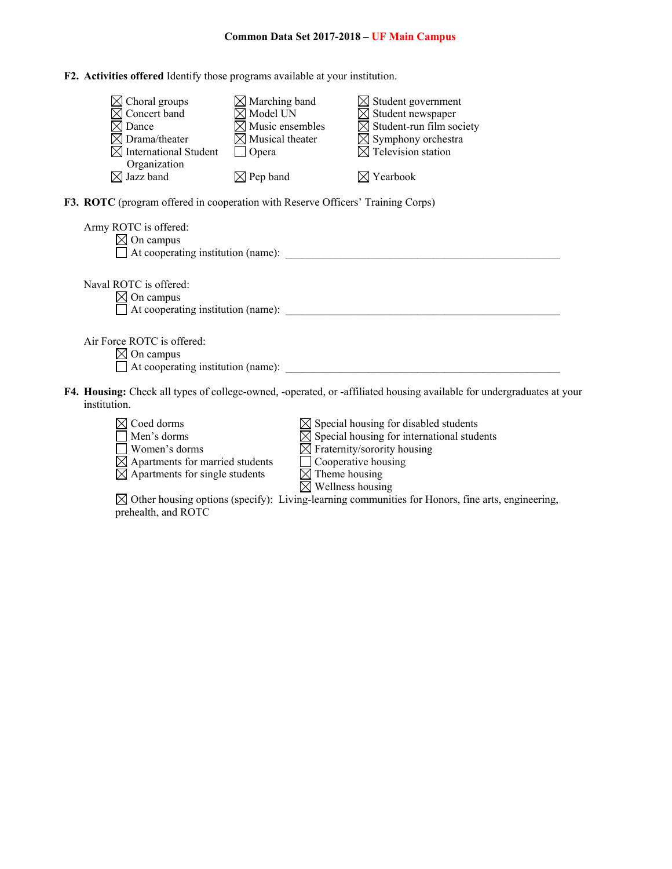**F2. Activities offered** Identify those programs available at your institution.

| $\boxtimes$ Choral groups         | $\boxtimes$ Marching band   | $\boxtimes$ Student government       |
|-----------------------------------|-----------------------------|--------------------------------------|
| $\boxtimes$ Concert band          | $\boxtimes$ Model UN        | $\boxtimes$ Student newspaper        |
| $\boxtimes$ Dance                 | $\boxtimes$ Music ensembles | $\boxtimes$ Student-run film society |
| $\boxtimes$ Drama/theater         | $\boxtimes$ Musical theater | $\boxtimes$ Symphony orchestra       |
| $\boxtimes$ International Student | Opera                       | $\boxtimes$ Television station       |
| Organization                      |                             |                                      |
| $\boxtimes$ Jazz band             | $\boxtimes$ Pep band        | $\boxtimes$ Yearbook                 |

**F3. ROTC** (program offered in cooperation with Reserve Officers' Training Corps)

| Army ROTC is offered:<br>On campus        |  |
|-------------------------------------------|--|
| $\Box$ At cooperating institution (name): |  |
|                                           |  |
| Naval ROTC is offered:                    |  |
| $\boxtimes$ On campus                     |  |
| $\Box$ At cooperating institution (name): |  |
|                                           |  |
| Air Force ROTC is offered:                |  |
| On campus                                 |  |
| $\Box$ At cooperating institution (name): |  |
|                                           |  |

**F4. Housing:** Check all types of college-owned, -operated, or -affiliated housing available for undergraduates at your institution.



 $\boxtimes$  Other housing options (specify): Living-learning communities for Honors, fine arts, engineering, prehealth, and ROTC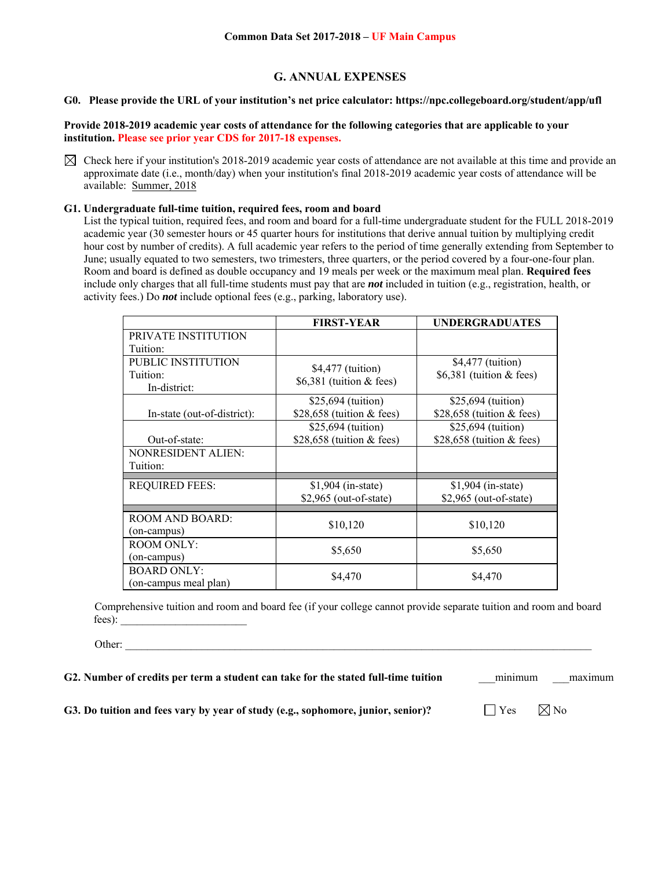# **G. ANNUAL EXPENSES**

## **G0. Please provide the URL of your institution's net price calculator: https://npc.collegeboard.org/student/app/ufl**

**Provide 2018-2019 academic year costs of attendance for the following categories that are applicable to your institution. Please see prior year CDS for 2017-18 expenses.** 

 $\boxtimes$  Check here if your institution's 2018-2019 academic year costs of attendance are not available at this time and provide an approximate date (i.e., month/day) when your institution's final 2018-2019 academic year costs of attendance will be available: Summer, 2018

### **G1. Undergraduate full-time tuition, required fees, room and board**

List the typical tuition, required fees, and room and board for a full-time undergraduate student for the FULL 2018-2019 academic year (30 semester hours or 45 quarter hours for institutions that derive annual tuition by multiplying credit hour cost by number of credits). A full academic year refers to the period of time generally extending from September to June; usually equated to two semesters, two trimesters, three quarters, or the period covered by a four-one-four plan. Room and board is defined as double occupancy and 19 meals per week or the maximum meal plan. **Required fees** include only charges that all full-time students must pay that are *not* included in tuition (e.g., registration, health, or activity fees.) Do *not* include optional fees (e.g., parking, laboratory use).

|                             | <b>FIRST-YEAR</b>           | <b>UNDERGRADUATES</b>       |
|-----------------------------|-----------------------------|-----------------------------|
| PRIVATE INSTITUTION         |                             |                             |
| Tuition:                    |                             |                             |
| PUBLIC INSTITUTION          | \$4,477 (tuition)           | \$4,477 (tuition)           |
| Tuition:                    | $$6,381$ (tuition & fees)   | \$6,381 (tuition & fees)    |
| In-district:                |                             |                             |
|                             | \$25,694 (tuition)          | \$25,694 (tuition)          |
| In-state (out-of-district): | \$28,658 (tuition $&$ fees) | \$28,658 (tuition $&$ fees) |
|                             | \$25,694 (tuition)          | \$25,694 (tuition)          |
| Out-of-state:               | \$28,658 (tuition $&$ fees) | \$28,658 (tuition $&$ fees) |
| <b>NONRESIDENT ALIEN:</b>   |                             |                             |
| Tuition:                    |                             |                             |
| <b>REQUIRED FEES:</b>       | $$1,904$ (in-state)         | $$1,904$ (in-state)         |
|                             | $$2,965$ (out-of-state)     | $$2,965$ (out-of-state)     |
|                             |                             |                             |
| <b>ROOM AND BOARD:</b>      | \$10,120                    | \$10,120                    |
| (on-campus)                 |                             |                             |
| <b>ROOM ONLY:</b>           | \$5,650                     | \$5,650                     |
| (on-campus)                 |                             |                             |
| <b>BOARD ONLY:</b>          | \$4,470                     | \$4,470                     |
| (on-campus meal plan)       |                             |                             |

Comprehensive tuition and room and board fee (if your college cannot provide separate tuition and room and board fees):  $\qquad \qquad \qquad$ 

Other: \_\_\_\_\_\_\_\_\_\_\_\_\_\_\_\_\_\_\_\_\_\_\_\_\_\_\_\_\_\_\_\_\_\_\_\_\_\_\_\_\_\_\_\_\_\_\_\_\_\_\_\_\_\_\_\_\_\_\_\_\_\_\_\_\_\_\_\_\_\_\_\_\_\_\_\_\_\_\_\_\_\_\_\_\_

**G2. Number of credits per term a student can take for the stated full-time tuition** <u>minimum</u> maximum

**G3. Do tuition and fees vary by year of study (e.g., sophomore, junior, senior)?**  $\Box$  Yes  $\Box$  No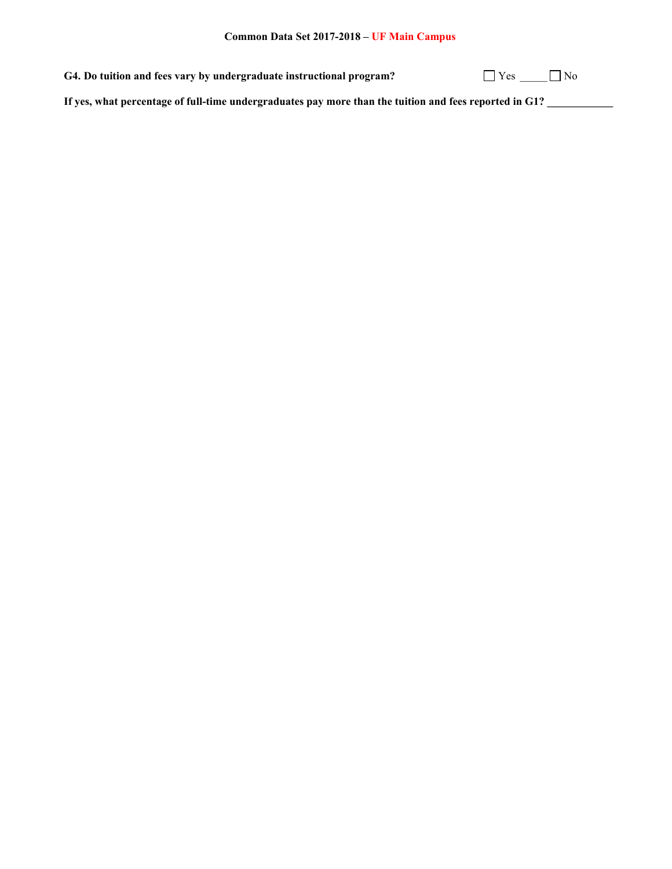G4. Do tuition and fees vary by undergraduate instructional program?  $\Box$  Yes  $\Box$  No

**If yes, what percentage of full-time undergraduates pay more than the tuition and fees reported in G1? \_\_\_\_\_\_\_\_\_\_\_\_**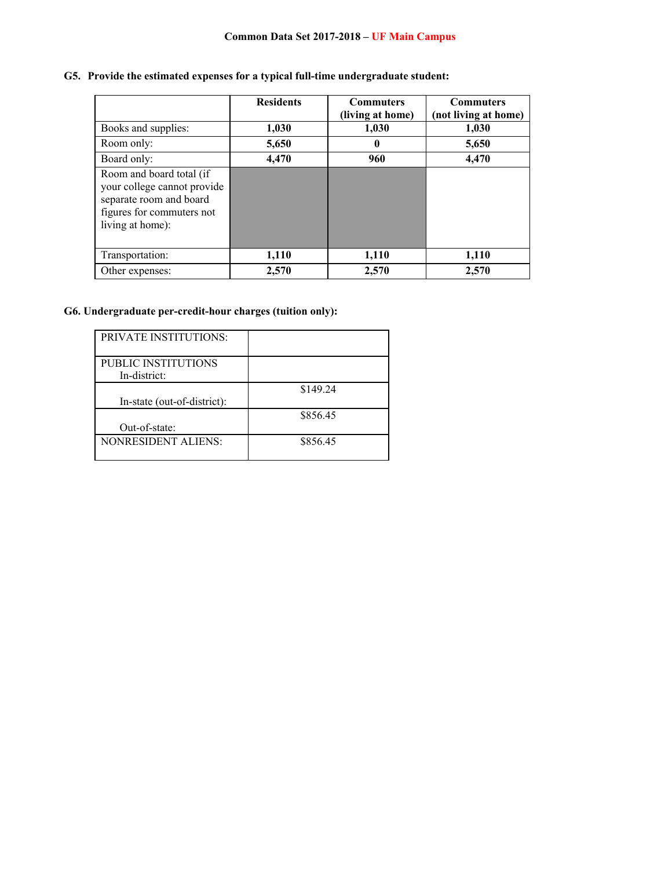# **G5. Provide the estimated expenses for a typical full-time undergraduate student:**

|                                                                                                                                     | <b>Residents</b> | <b>Commuters</b><br>(living at home) | <b>Commuters</b><br>(not living at home) |
|-------------------------------------------------------------------------------------------------------------------------------------|------------------|--------------------------------------|------------------------------------------|
| Books and supplies:                                                                                                                 | 1,030            | 1,030                                | 1,030                                    |
| Room only:                                                                                                                          | 5,650            | 0                                    | 5,650                                    |
| Board only:                                                                                                                         | 4,470            | 960                                  | 4,470                                    |
| Room and board total (if<br>your college cannot provide<br>separate room and board<br>figures for commuters not<br>living at home): |                  |                                      |                                          |
| Transportation:                                                                                                                     | 1,110            | 1,110                                | 1,110                                    |
| Other expenses:                                                                                                                     | 2,570            | 2,570                                | 2,570                                    |

# **G6. Undergraduate per-credit-hour charges (tuition only):**

| <b>PRIVATE INSTITUTIONS:</b> |          |
|------------------------------|----------|
|                              |          |
| PUBLIC INSTITUTIONS          |          |
| In-district:                 |          |
|                              | \$149.24 |
| In-state (out-of-district):  |          |
|                              | \$856.45 |
| Out-of-state:                |          |
| <b>NONRESIDENT ALIENS:</b>   | \$856.45 |
|                              |          |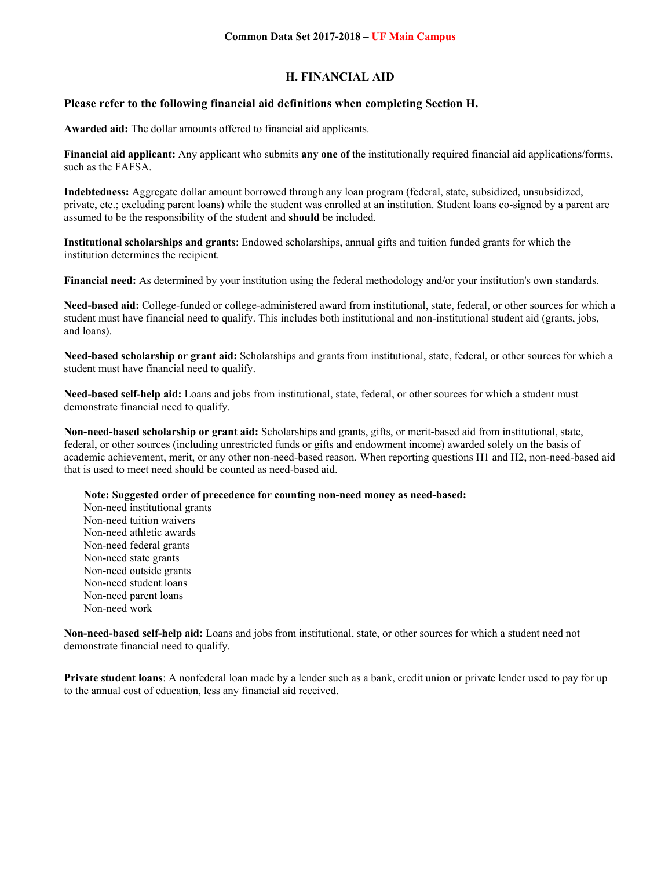## **H. FINANCIAL AID**

## **Please refer to the following financial aid definitions when completing Section H.**

**Awarded aid:** The dollar amounts offered to financial aid applicants.

**Financial aid applicant:** Any applicant who submits **any one of** the institutionally required financial aid applications/forms, such as the FAFSA.

**Indebtedness:** Aggregate dollar amount borrowed through any loan program (federal, state, subsidized, unsubsidized, private, etc.; excluding parent loans) while the student was enrolled at an institution. Student loans co-signed by a parent are assumed to be the responsibility of the student and **should** be included.

**Institutional scholarships and grants**: Endowed scholarships, annual gifts and tuition funded grants for which the institution determines the recipient.

**Financial need:** As determined by your institution using the federal methodology and/or your institution's own standards.

**Need-based aid:** College-funded or college-administered award from institutional, state, federal, or other sources for which a student must have financial need to qualify. This includes both institutional and non-institutional student aid (grants, jobs, and loans).

**Need-based scholarship or grant aid:** Scholarships and grants from institutional, state, federal, or other sources for which a student must have financial need to qualify.

**Need-based self-help aid:** Loans and jobs from institutional, state, federal, or other sources for which a student must demonstrate financial need to qualify.

**Non-need-based scholarship or grant aid:** Scholarships and grants, gifts, or merit-based aid from institutional, state, federal, or other sources (including unrestricted funds or gifts and endowment income) awarded solely on the basis of academic achievement, merit, or any other non-need-based reason. When reporting questions H1 and H2, non-need-based aid that is used to meet need should be counted as need-based aid.

**Note: Suggested order of precedence for counting non-need money as need-based:** 

Non-need institutional grants Non-need tuition waivers Non-need athletic awards Non-need federal grants Non-need state grants Non-need outside grants Non-need student loans Non-need parent loans Non-need work

**Non-need-based self-help aid:** Loans and jobs from institutional, state, or other sources for which a student need not demonstrate financial need to qualify.

**Private student loans**: A nonfederal loan made by a lender such as a bank, credit union or private lender used to pay for up to the annual cost of education, less any financial aid received.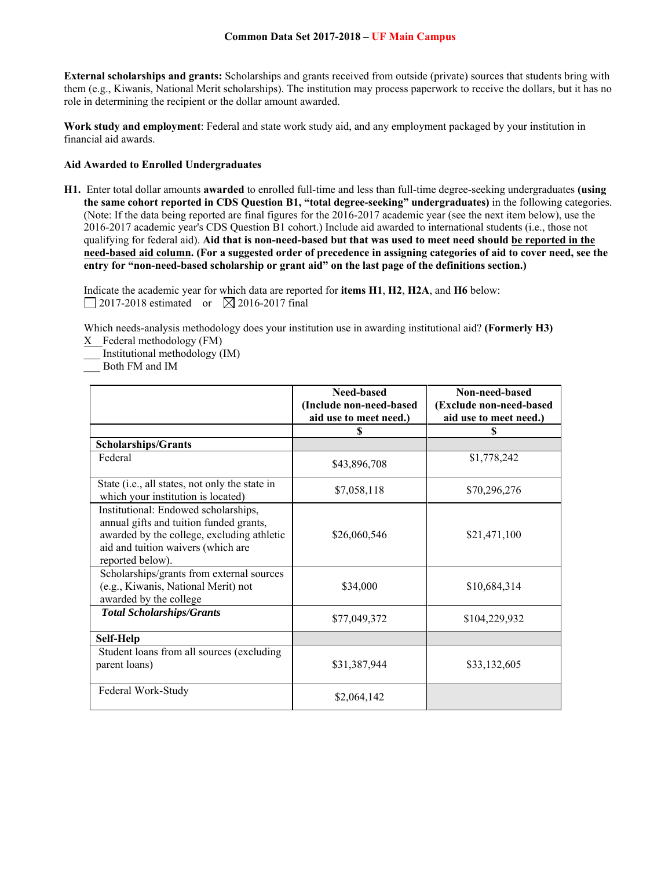**External scholarships and grants:** Scholarships and grants received from outside (private) sources that students bring with them (e.g., Kiwanis, National Merit scholarships). The institution may process paperwork to receive the dollars, but it has no role in determining the recipient or the dollar amount awarded.

**Work study and employment**: Federal and state work study aid, and any employment packaged by your institution in financial aid awards.

### **Aid Awarded to Enrolled Undergraduates**

**H1.** Enter total dollar amounts **awarded** to enrolled full-time and less than full-time degree-seeking undergraduates **(using the same cohort reported in CDS Question B1, "total degree-seeking" undergraduates)** in the following categories. (Note: If the data being reported are final figures for the 2016-2017 academic year (see the next item below), use the 2016-2017 academic year's CDS Question B1 cohort.) Include aid awarded to international students (i.e., those not qualifying for federal aid). **Aid that is non-need-based but that was used to meet need should be reported in the need-based aid column. (For a suggested order of precedence in assigning categories of aid to cover need, see the entry for "non-need-based scholarship or grant aid" on the last page of the definitions section.)** 

Indicate the academic year for which data are reported for **items H1**, **H2**, **H2A**, and **H6** below:  $\Box$  2017-2018 estimated or  $\boxtimes$  2016-2017 final

Which needs-analysis methodology does your institution use in awarding institutional aid? **(Formerly H3)**  X Federal methodology (FM)

\_\_\_ Institutional methodology (IM)

\_\_\_ Both FM and IM

|                                                                                                                                                                                         | Need-based<br>(Include non-need-based | Non-need-based<br>(Exclude non-need-based |
|-----------------------------------------------------------------------------------------------------------------------------------------------------------------------------------------|---------------------------------------|-------------------------------------------|
|                                                                                                                                                                                         | aid use to meet need.)                | aid use to meet need.)                    |
|                                                                                                                                                                                         | \$                                    | \$                                        |
| <b>Scholarships/Grants</b>                                                                                                                                                              |                                       |                                           |
| Federal                                                                                                                                                                                 | \$43,896,708                          | \$1,778,242                               |
| State (i.e., all states, not only the state in<br>which your institution is located)                                                                                                    | \$7,058,118                           | \$70,296,276                              |
| Institutional: Endowed scholarships,<br>annual gifts and tuition funded grants,<br>awarded by the college, excluding athletic<br>aid and tuition waivers (which are<br>reported below). | \$26,060,546                          | \$21,471,100                              |
| Scholarships/grants from external sources<br>(e.g., Kiwanis, National Merit) not<br>awarded by the college                                                                              | \$34,000                              | \$10,684,314                              |
| <b>Total Scholarships/Grants</b>                                                                                                                                                        | \$77,049,372                          | \$104,229,932                             |
| Self-Help                                                                                                                                                                               |                                       |                                           |
| Student loans from all sources (excluding<br>parent loans)                                                                                                                              | \$31,387,944                          | \$33,132,605                              |
| Federal Work-Study                                                                                                                                                                      | \$2,064,142                           |                                           |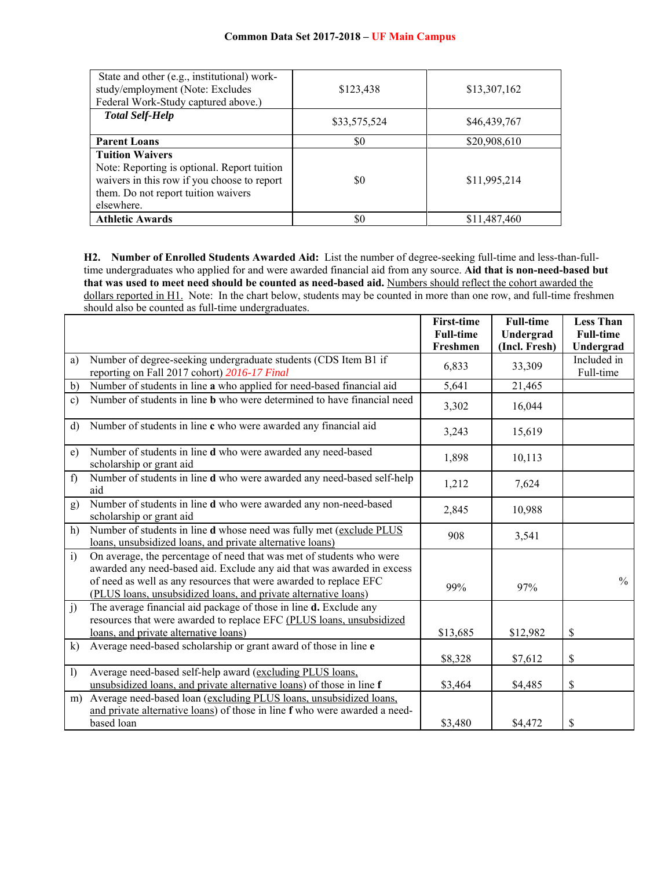| State and other (e.g., institutional) work-<br>study/employment (Note: Excludes<br>Federal Work-Study captured above.)                                                    | \$123,438    | \$13,307,162 |
|---------------------------------------------------------------------------------------------------------------------------------------------------------------------------|--------------|--------------|
| <b>Total Self-Help</b>                                                                                                                                                    | \$33,575,524 | \$46,439,767 |
| <b>Parent Loans</b>                                                                                                                                                       | \$0          | \$20,908,610 |
| <b>Tuition Waivers</b><br>Note: Reporting is optional. Report tuition<br>waivers in this row if you choose to report<br>them. Do not report tuition waivers<br>elsewhere. | \$0          | \$11,995,214 |
| <b>Athletic Awards</b>                                                                                                                                                    | \$0          | \$11,487,460 |

**H2. Number of Enrolled Students Awarded Aid:** List the number of degree-seeking full-time and less-than-fulltime undergraduates who applied for and were awarded financial aid from any source. **Aid that is non-need-based but that was used to meet need should be counted as need-based aid.** Numbers should reflect the cohort awarded the dollars reported in H1. Note: In the chart below, students may be counted in more than one row, and full-time freshmen should also be counted as full-time undergraduates.

|                |                                                                                                                                                                                                                                                                                        | <b>First-time</b> | <b>Full-time</b> | <b>Less Than</b>         |
|----------------|----------------------------------------------------------------------------------------------------------------------------------------------------------------------------------------------------------------------------------------------------------------------------------------|-------------------|------------------|--------------------------|
|                |                                                                                                                                                                                                                                                                                        | <b>Full-time</b>  | Undergrad        | <b>Full-time</b>         |
|                |                                                                                                                                                                                                                                                                                        | Freshmen          | (Incl. Fresh)    | Undergrad                |
| a)             | Number of degree-seeking undergraduate students (CDS Item B1 if<br>reporting on Fall 2017 cohort) 2016-17 Final                                                                                                                                                                        | 6,833             | 33,309           | Included in<br>Full-time |
| b)             | Number of students in line a who applied for need-based financial aid                                                                                                                                                                                                                  | 5,641             | 21,465           |                          |
| $\mathbf{c}$ ) | Number of students in line <b>b</b> who were determined to have financial need                                                                                                                                                                                                         | 3,302             | 16,044           |                          |
| $\mathbf{d}$   | Number of students in line c who were awarded any financial aid                                                                                                                                                                                                                        | 3,243             | 15,619           |                          |
| e)             | Number of students in line d who were awarded any need-based<br>scholarship or grant aid                                                                                                                                                                                               | 1,898             | 10,113           |                          |
| f)             | Number of students in line d who were awarded any need-based self-help<br>aid                                                                                                                                                                                                          | 1,212             | 7,624            |                          |
| g)             | Number of students in line d who were awarded any non-need-based<br>scholarship or grant aid                                                                                                                                                                                           | 2,845             | 10,988           |                          |
| h)             | Number of students in line d whose need was fully met (exclude PLUS<br>loans, unsubsidized loans, and private alternative loans)                                                                                                                                                       | 908               | 3,541            |                          |
| $\ddot{1}$     | On average, the percentage of need that was met of students who were<br>awarded any need-based aid. Exclude any aid that was awarded in excess<br>of need as well as any resources that were awarded to replace EFC<br>(PLUS loans, unsubsidized loans, and private alternative loans) | 99%               | 97%              | $\frac{0}{0}$            |
| j)             | The average financial aid package of those in line d. Exclude any<br>resources that were awarded to replace EFC (PLUS loans, unsubsidized<br>loans, and private alternative loans)                                                                                                     | \$13,685          | \$12,982         | \$                       |
| k)             | Average need-based scholarship or grant award of those in line e                                                                                                                                                                                                                       | \$8,328           | \$7,612          | \$                       |
| $\overline{1}$ | Average need-based self-help award (excluding PLUS loans,<br>unsubsidized loans, and private alternative loans) of those in line f                                                                                                                                                     | \$3,464           | \$4,485          | \$                       |
| m)             | Average need-based loan (excluding PLUS loans, unsubsidized loans,<br>and private alternative loans) of those in line f who were awarded a need-                                                                                                                                       |                   |                  |                          |
|                | based loan                                                                                                                                                                                                                                                                             | \$3,480           | \$4,472          | \$                       |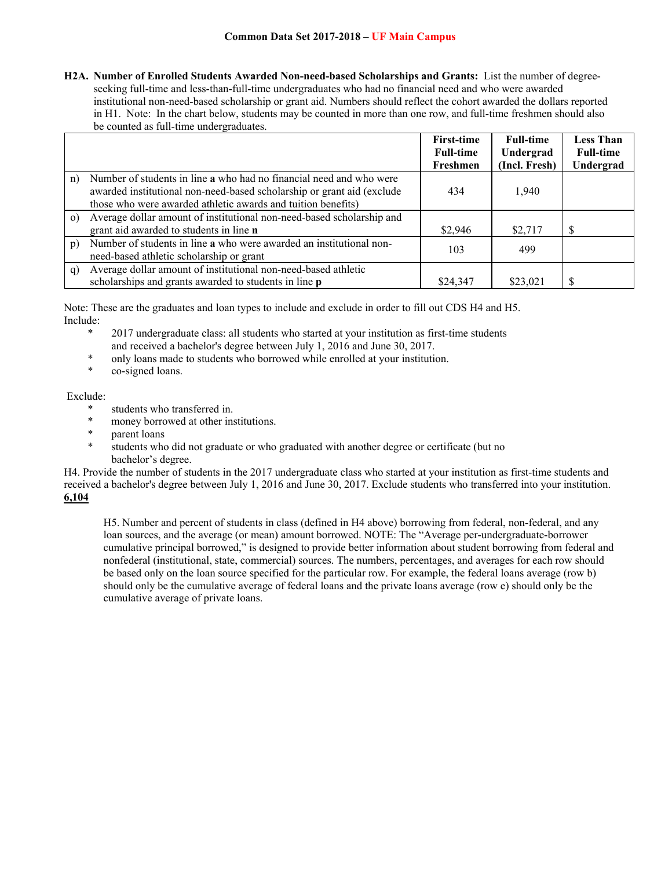**H2A. Number of Enrolled Students Awarded Non-need-based Scholarships and Grants:** List the number of degreeseeking full-time and less-than-full-time undergraduates who had no financial need and who were awarded institutional non-need-based scholarship or grant aid. Numbers should reflect the cohort awarded the dollars reported in H1. Note: In the chart below, students may be counted in more than one row, and full-time freshmen should also be counted as full-time undergraduates.

|          |                                                                                                                                                                                                               | <b>First-time</b> | <b>Full-time</b> | <b>Less Than</b> |
|----------|---------------------------------------------------------------------------------------------------------------------------------------------------------------------------------------------------------------|-------------------|------------------|------------------|
|          |                                                                                                                                                                                                               | <b>Full-time</b>  | Undergrad        | <b>Full-time</b> |
|          |                                                                                                                                                                                                               | Freshmen          | (Incl. Fresh)    | Undergrad        |
| n)       | Number of students in line a who had no financial need and who were<br>awarded institutional non-need-based scholarship or grant aid (exclude<br>those who were awarded athletic awards and tuition benefits) | 434               | 1,940            |                  |
| $\Omega$ | Average dollar amount of institutional non-need-based scholarship and<br>grant aid awarded to students in line <b>n</b>                                                                                       | \$2,946           | \$2,717          |                  |
| p)       | Number of students in line a who were awarded an institutional non-<br>need-based athletic scholarship or grant                                                                                               | 103               | 499              |                  |
| q)       | Average dollar amount of institutional non-need-based athletic<br>scholarships and grants awarded to students in line p                                                                                       | \$24,347          | \$23,021         |                  |

Note: These are the graduates and loan types to include and exclude in order to fill out CDS H4 and H5. Include:

- \* 2017 undergraduate class: all students who started at your institution as first-time students and received a bachelor's degree between July 1, 2016 and June 30, 2017.<br>
<sup>\*</sup> only loans made to students who berroused while annelled at your institutional
- \* only loans made to students who borrowed while enrolled at your institution.<br>\* as signed loans
- co-signed loans.

## Exclude:

- students who transferred in.
- \* money borrowed at other institutions.
- \* parent loans
- students who did not graduate or who graduated with another degree or certificate (but no bachelor's degree.

H4. Provide the number of students in the 2017 undergraduate class who started at your institution as first-time students and received a bachelor's degree between July 1, 2016 and June 30, 2017. Exclude students who transferred into your institution. **6,104**

H5. Number and percent of students in class (defined in H4 above) borrowing from federal, non-federal, and any loan sources, and the average (or mean) amount borrowed. NOTE: The "Average per-undergraduate-borrower cumulative principal borrowed," is designed to provide better information about student borrowing from federal and nonfederal (institutional, state, commercial) sources. The numbers, percentages, and averages for each row should be based only on the loan source specified for the particular row. For example, the federal loans average (row b) should only be the cumulative average of federal loans and the private loans average (row e) should only be the cumulative average of private loans.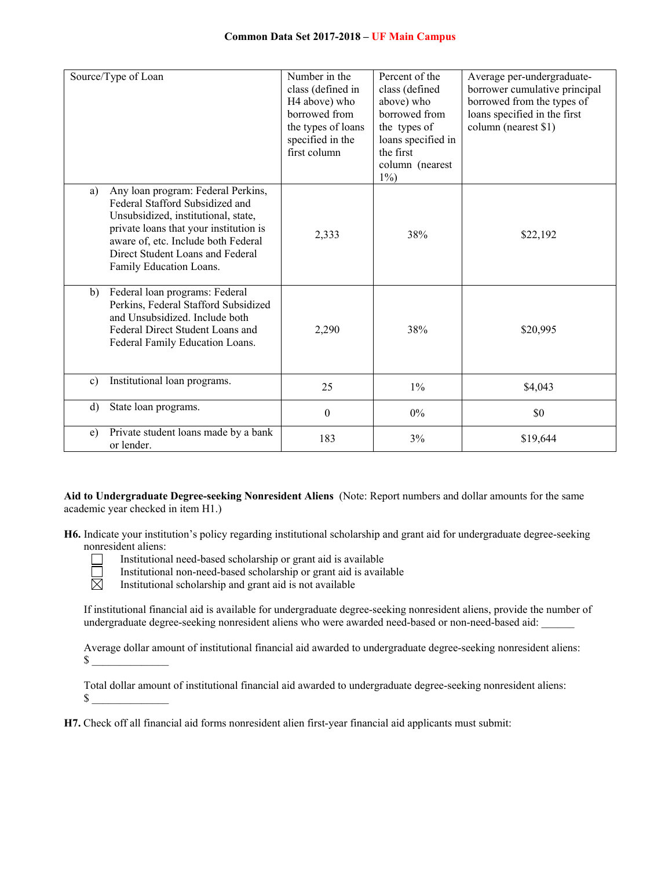|              | Source/Type of Loan                                                                                                                                                                                                                                          | Number in the<br>class (defined in<br>H4 above) who<br>borrowed from<br>the types of loans<br>specified in the<br>first column | Percent of the<br>class (defined<br>above) who<br>borrowed from<br>the types of<br>loans specified in<br>the first<br>column (nearest<br>$1\%$ | Average per-undergraduate-<br>borrower cumulative principal<br>borrowed from the types of<br>loans specified in the first<br>column (nearest \$1) |
|--------------|--------------------------------------------------------------------------------------------------------------------------------------------------------------------------------------------------------------------------------------------------------------|--------------------------------------------------------------------------------------------------------------------------------|------------------------------------------------------------------------------------------------------------------------------------------------|---------------------------------------------------------------------------------------------------------------------------------------------------|
| a)           | Any loan program: Federal Perkins,<br>Federal Stafford Subsidized and<br>Unsubsidized, institutional, state,<br>private loans that your institution is<br>aware of, etc. Include both Federal<br>Direct Student Loans and Federal<br>Family Education Loans. | 2,333                                                                                                                          | 38%                                                                                                                                            | \$22,192                                                                                                                                          |
| b)           | Federal loan programs: Federal<br>Perkins, Federal Stafford Subsidized<br>and Unsubsidized. Include both<br>Federal Direct Student Loans and<br>Federal Family Education Loans.                                                                              | 2,290                                                                                                                          | 38%                                                                                                                                            | \$20,995                                                                                                                                          |
| $\mathbf{c}$ | Institutional loan programs.                                                                                                                                                                                                                                 | 25                                                                                                                             | $1\%$                                                                                                                                          | \$4,043                                                                                                                                           |
| $\rm d$      | State loan programs.                                                                                                                                                                                                                                         | $\theta$                                                                                                                       | $0\%$                                                                                                                                          | \$0                                                                                                                                               |
| e)           | Private student loans made by a bank<br>or lender.                                                                                                                                                                                                           | 183                                                                                                                            | 3%                                                                                                                                             | \$19,644                                                                                                                                          |

**Aid to Undergraduate Degree-seeking Nonresident Aliens** (Note: Report numbers and dollar amounts for the same academic year checked in item H1.)

**H6.** Indicate your institution's policy regarding institutional scholarship and grant aid for undergraduate degree-seeking nonresident aliens:



Institutional need-based scholarship or grant aid is available

- Institutional non-need-based scholarship or grant aid is available<br>
Institutional scholarship and grant aid is not available
	- Institutional scholarship and grant aid is not available

If institutional financial aid is available for undergraduate degree-seeking nonresident aliens, provide the number of undergraduate degree-seeking nonresident aliens who were awarded need-based or non-need-based aid: \_\_\_\_\_\_

Average dollar amount of institutional financial aid awarded to undergraduate degree-seeking nonresident aliens:  $\sim$ 

Total dollar amount of institutional financial aid awarded to undergraduate degree-seeking nonresident aliens:  $\sim$ 

**H7.** Check off all financial aid forms nonresident alien first-year financial aid applicants must submit: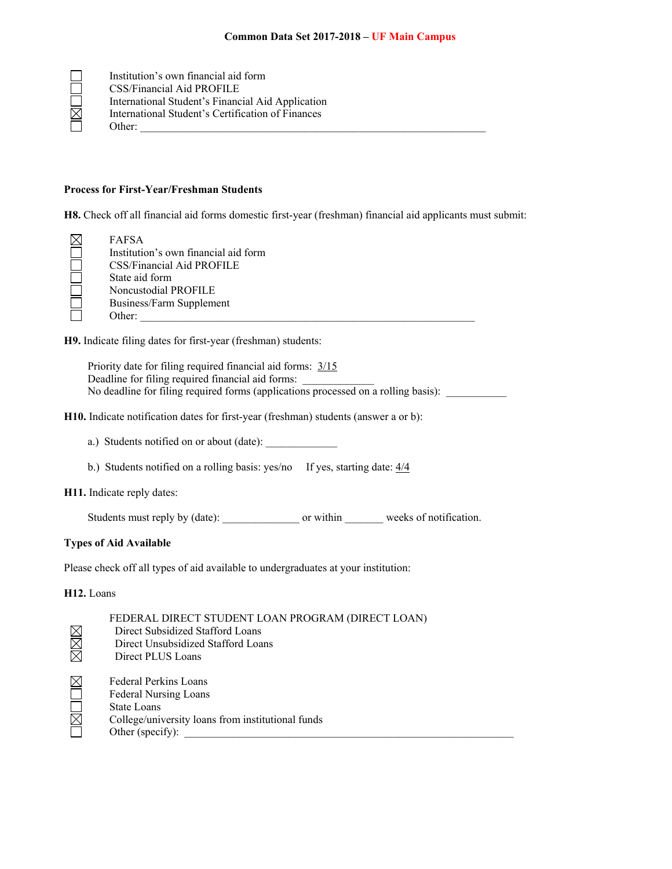|             | Institution's own financial aid form              |
|-------------|---------------------------------------------------|
|             | CSS/Financial Aid PROFILE                         |
|             | International Student's Financial Aid Application |
| $\boxtimes$ | International Student's Certification of Finances |
|             | Other:                                            |

#### **Process for First-Year/Freshman Students**

**H8.** Check off all financial aid forms domestic first-year (freshman) financial aid applicants must submit:

| FAFSA                                |
|--------------------------------------|
| Institution's own financial aid form |
| CSS/Financial Aid PROFILE            |
| State aid form                       |
| Noncustodial PROFILE                 |
| Business/Farm Supplement             |
| Other:                               |

**H9.** Indicate filing dates for first-year (freshman) students:

Priority date for filing required financial aid forms: 3/15 Deadline for filing required financial aid forms: No deadline for filing required forms (applications processed on a rolling basis): \_\_\_\_\_\_\_\_\_\_\_\_\_\_\_\_\_\_\_\_\_\_\_\_\_\_\_

**H10.** Indicate notification dates for first-year (freshman) students (answer a or b):

- a.) Students notified on or about (date):
- b.) Students notified on a rolling basis: yes/no If yes, starting date:  $\frac{4}{4}$

**H11.** Indicate reply dates:

Students must reply by (date): \_\_\_\_\_\_\_\_\_\_\_\_\_\_\_\_\_ or within \_\_\_\_\_\_\_\_ weeks of notification.

## **Types of Aid Available**

Please check off all types of aid available to undergraduates at your institution:

**H12.** Loans

|        | FEDERAL DIRECT STUDENT LOAN PROGRAM (DIRECT LOAN) |
|--------|---------------------------------------------------|
|        | Direct Subsidized Stafford Loans                  |
|        | Direct Unsubsidized Stafford Loans                |
| M<br>M | Direct PLUS Loans                                 |
|        | Federal Perkins Loans                             |
| DED RI | Federal Nursing Loans                             |
|        | State Loans                                       |
|        | College/university loans from institutional funds |
|        | Other (specify):                                  |
|        |                                                   |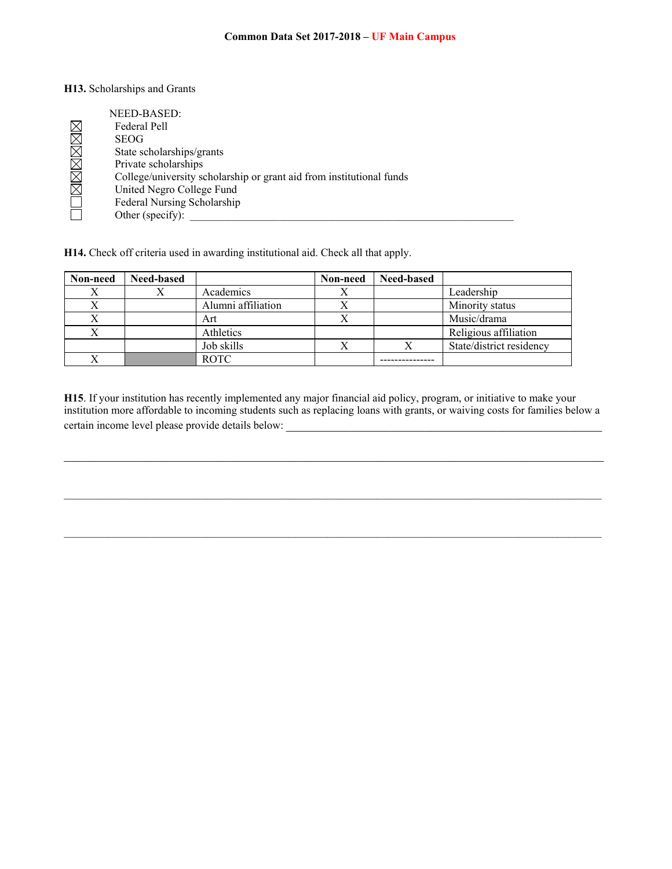#### **H13.** Scholarships and Grants

| NEED-BASED:                                                          |
|----------------------------------------------------------------------|
| Federal Pell                                                         |
| <b>SEOG</b>                                                          |
| State scholarships/grants                                            |
| Private scholarships                                                 |
| College/university scholarship or grant aid from institutional funds |
| United Negro College Fund                                            |
| Federal Nursing Scholarship                                          |
| Other (specify):                                                     |

**H14.** Check off criteria used in awarding institutional aid. Check all that apply.

| Non-need | <b>Need-based</b> |                    | Non-need | <b>Need-based</b> |                          |
|----------|-------------------|--------------------|----------|-------------------|--------------------------|
|          |                   | Academics          |          |                   | Leadership               |
| Χ        |                   | Alumni affiliation |          |                   | Minority status          |
| Χ        |                   | Art                |          |                   | Music/drama              |
|          |                   | Athletics          |          |                   | Religious affiliation    |
|          |                   | Job skills         |          |                   | State/district residency |
|          |                   | <b>ROTC</b>        |          |                   |                          |

**H15**. If your institution has recently implemented any major financial aid policy, program, or initiative to make your institution more affordable to incoming students such as replacing loans with grants, or waiving costs for families below a certain income level please provide details below: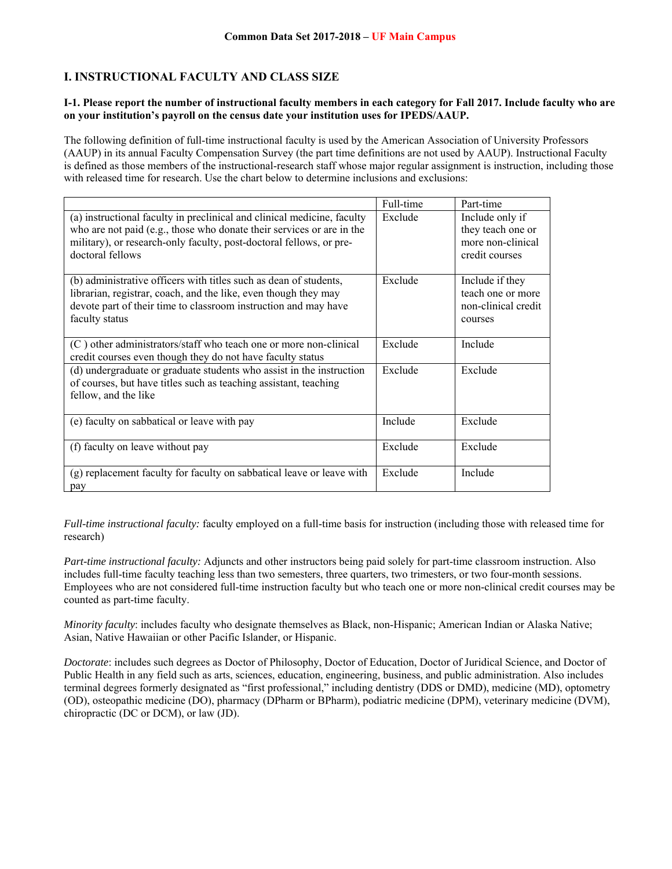# **I. INSTRUCTIONAL FACULTY AND CLASS SIZE**

### **I-1. Please report the number of instructional faculty members in each category for Fall 2017. Include faculty who are on your institution's payroll on the census date your institution uses for IPEDS/AAUP.**

The following definition of full-time instructional faculty is used by the American Association of University Professors (AAUP) in its annual Faculty Compensation Survey (the part time definitions are not used by AAUP). Instructional Faculty is defined as those members of the instructional-research staff whose major regular assignment is instruction, including those with released time for research. Use the chart below to determine inclusions and exclusions:

|                                                                                                                                                                                                                                             | Full-time | Part-time                                                                   |
|---------------------------------------------------------------------------------------------------------------------------------------------------------------------------------------------------------------------------------------------|-----------|-----------------------------------------------------------------------------|
| (a) instructional faculty in preclinical and clinical medicine, faculty<br>who are not paid (e.g., those who donate their services or are in the<br>military), or research-only faculty, post-doctoral fellows, or pre-<br>doctoral fellows | Exclude   | Include only if<br>they teach one or<br>more non-clinical<br>credit courses |
| (b) administrative officers with titles such as dean of students,<br>librarian, registrar, coach, and the like, even though they may<br>devote part of their time to classroom instruction and may have<br>faculty status                   | Exclude   | Include if they<br>teach one or more<br>non-clinical credit<br>courses      |
| (C) other administrators/staff who teach one or more non-clinical<br>credit courses even though they do not have faculty status                                                                                                             | Exclude   | Include                                                                     |
| (d) undergraduate or graduate students who assist in the instruction<br>of courses, but have titles such as teaching assistant, teaching<br>fellow, and the like                                                                            | Exclude   | Exclude                                                                     |
| (e) faculty on sabbatical or leave with pay                                                                                                                                                                                                 | Include   | Exclude                                                                     |
| (f) faculty on leave without pay                                                                                                                                                                                                            | Exclude   | Exclude                                                                     |
| (g) replacement faculty for faculty on sabbatical leave or leave with<br>pay                                                                                                                                                                | Exclude   | Include                                                                     |

*Full-time instructional faculty:* faculty employed on a full-time basis for instruction (including those with released time for research)

*Part-time instructional faculty:* Adjuncts and other instructors being paid solely for part-time classroom instruction. Also includes full-time faculty teaching less than two semesters, three quarters, two trimesters, or two four-month sessions. Employees who are not considered full-time instruction faculty but who teach one or more non-clinical credit courses may be counted as part-time faculty.

*Minority faculty*: includes faculty who designate themselves as Black, non-Hispanic; American Indian or Alaska Native; Asian, Native Hawaiian or other Pacific Islander, or Hispanic.

*Doctorate*: includes such degrees as Doctor of Philosophy, Doctor of Education, Doctor of Juridical Science, and Doctor of Public Health in any field such as arts, sciences, education, engineering, business, and public administration. Also includes terminal degrees formerly designated as "first professional," including dentistry (DDS or DMD), medicine (MD), optometry (OD), osteopathic medicine (DO), pharmacy (DPharm or BPharm), podiatric medicine (DPM), veterinary medicine (DVM), chiropractic (DC or DCM), or law (JD).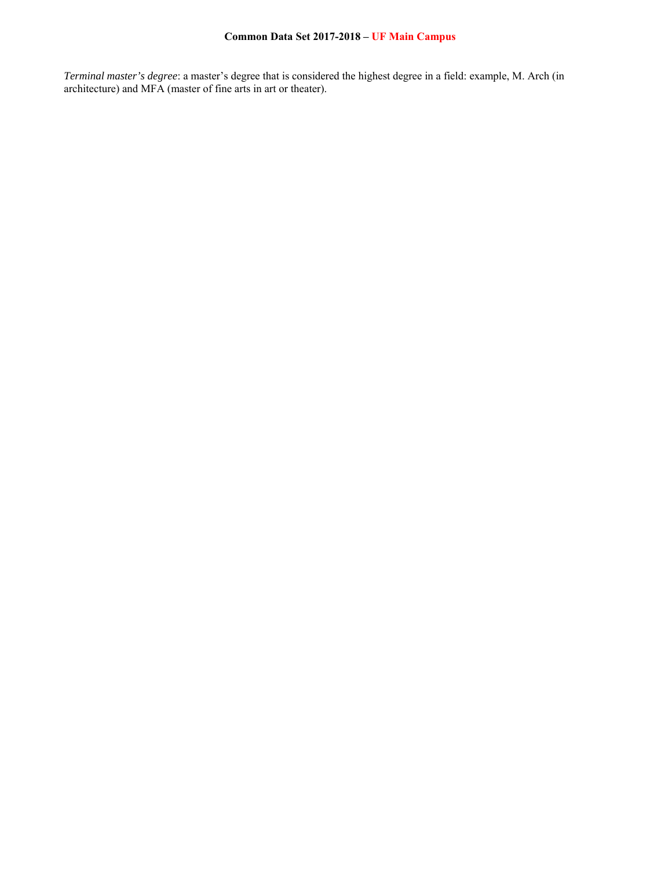*Terminal master's degree*: a master's degree that is considered the highest degree in a field: example, M. Arch (in architecture) and MFA (master of fine arts in art or theater).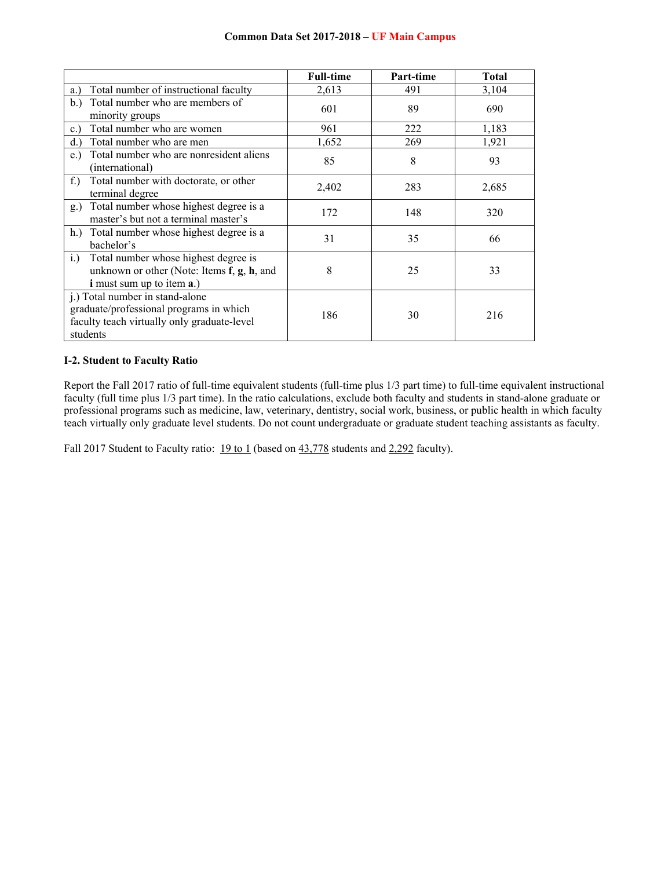|                                                                                                                                       | <b>Full-time</b> | Part-time | <b>Total</b> |
|---------------------------------------------------------------------------------------------------------------------------------------|------------------|-----------|--------------|
| Total number of instructional faculty<br>a.)                                                                                          | 2,613            | 491       | 3,104        |
| Total number who are members of<br>b.<br>minority groups                                                                              | 601              | 89        | 690          |
| Total number who are women<br>c.                                                                                                      | 961              | 222       | 1,183        |
| Total number who are men<br>d.                                                                                                        | 1,652            | 269       | 1,921        |
| Total number who are nonresident aliens<br>e.)<br>(international)                                                                     | 85               | 8         | 93           |
| Total number with doctorate, or other<br>$f$ .<br>terminal degree                                                                     | 2,402            | 283       | 2,685        |
| Total number whose highest degree is a<br>$g_{\cdot}$<br>master's but not a terminal master's                                         | 172              | 148       | 320          |
| h.) Total number whose highest degree is a<br>bachelor's                                                                              | 31               | 35        | 66           |
| Total number whose highest degree is<br>i.)<br>unknown or other (Note: Items f, g, h, and<br><i>i</i> must sum up to item <b>a</b> .) | 8                | 25        | 33           |
| j.) Total number in stand-alone<br>graduate/professional programs in which<br>faculty teach virtually only graduate-level<br>students | 186              | 30        | 216          |

## **I-2. Student to Faculty Ratio**

Report the Fall 2017 ratio of full-time equivalent students (full-time plus 1/3 part time) to full-time equivalent instructional faculty (full time plus 1/3 part time). In the ratio calculations, exclude both faculty and students in stand-alone graduate or professional programs such as medicine, law, veterinary, dentistry, social work, business, or public health in which faculty teach virtually only graduate level students. Do not count undergraduate or graduate student teaching assistants as faculty.

Fall 2017 Student to Faculty ratio: 19 to 1 (based on 43,778 students and 2,292 faculty).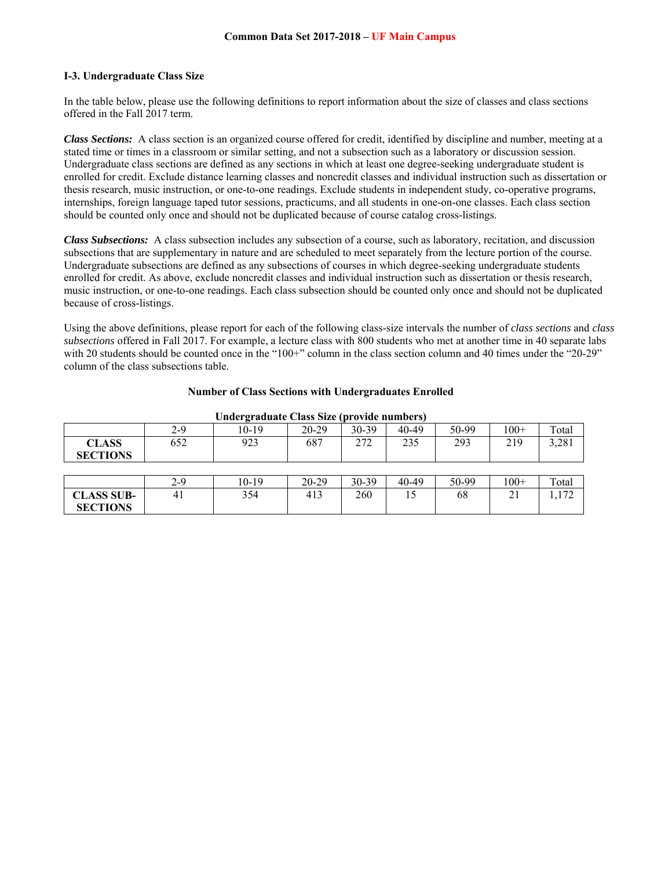### **I-3. Undergraduate Class Size**

In the table below, please use the following definitions to report information about the size of classes and class sections offered in the Fall 2017 term.

*Class Sections:* A class section is an organized course offered for credit, identified by discipline and number, meeting at a stated time or times in a classroom or similar setting, and not a subsection such as a laboratory or discussion session. Undergraduate class sections are defined as any sections in which at least one degree-seeking undergraduate student is enrolled for credit. Exclude distance learning classes and noncredit classes and individual instruction such as dissertation or thesis research, music instruction, or one-to-one readings. Exclude students in independent study, co-operative programs, internships, foreign language taped tutor sessions, practicums, and all students in one-on-one classes. Each class section should be counted only once and should not be duplicated because of course catalog cross-listings.

*Class Subsections:* A class subsection includes any subsection of a course, such as laboratory, recitation, and discussion subsections that are supplementary in nature and are scheduled to meet separately from the lecture portion of the course. Undergraduate subsections are defined as any subsections of courses in which degree-seeking undergraduate students enrolled for credit. As above, exclude noncredit classes and individual instruction such as dissertation or thesis research, music instruction, or one-to-one readings. Each class subsection should be counted only once and should not be duplicated because of cross-listings.

Using the above definitions, please report for each of the following class-size intervals the number of *class sections* and *class subsections* offered in Fall 2017. For example, a lecture class with 800 students who met at another time in 40 separate labs with 20 students should be counted once in the "100+" column in the class section column and 40 times under the "20-29" column of the class subsections table.

| Undergraduate Class Size (provide numbers) |         |         |         |           |       |       |        |       |
|--------------------------------------------|---------|---------|---------|-----------|-------|-------|--------|-------|
|                                            | $2 - 9$ | 10-19   | 20-29   | $30 - 39$ | 40-49 | 50-99 | $100+$ | Total |
| <b>CLASS</b><br><b>SECTIONS</b>            | 652     | 923     | 687     | 272       | 235   | 293   | 219    | 3,281 |
|                                            |         |         |         |           |       |       |        |       |
|                                            | 2-9     | $10-19$ | $20-29$ | $30-39$   | 40-49 | 50-99 | $100+$ | Total |
| <b>CLASS SUB-</b>                          | 41      | 354     | 413     | 260       | 15    | 68    | 21     | 1,172 |
| <b>SECTIONS</b>                            |         |         |         |           |       |       |        |       |

#### **Number of Class Sections with Undergraduates Enrolled**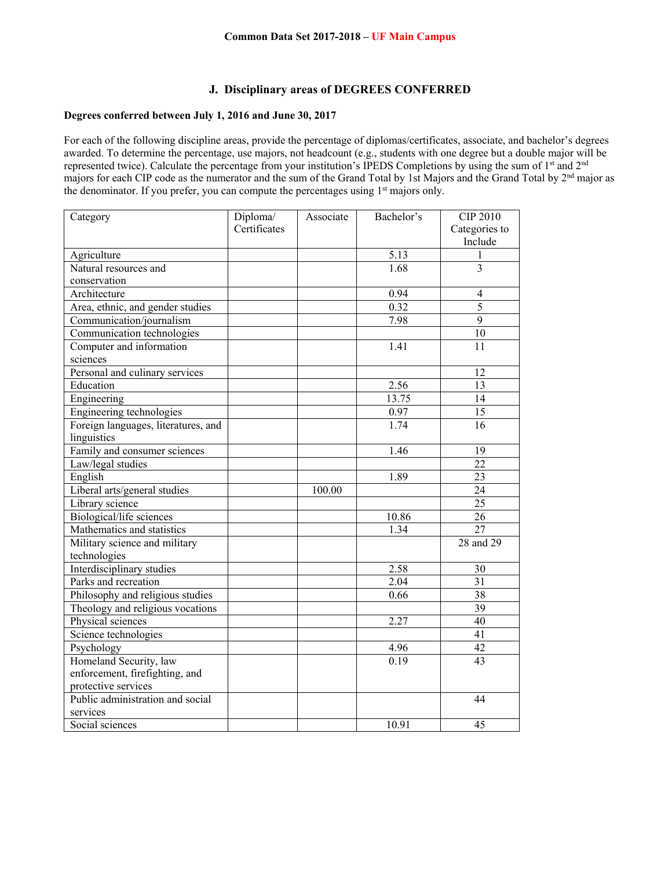#### **J. Disciplinary areas of DEGREES CONFERRED**

## **Degrees conferred between July 1, 2016 and June 30, 2017**

For each of the following discipline areas, provide the percentage of diplomas/certificates, associate, and bachelor's degrees awarded. To determine the percentage, use majors, not headcount (e.g., students with one degree but a double major will be represented twice). Calculate the percentage from your institution's IPEDS Completions by using the sum of 1st and 2nd majors for each CIP code as the numerator and the sum of the Grand Total by 1st Majors and the Grand Total by 2nd major as the denominator. If you prefer, you can compute the percentages using  $1<sup>st</sup>$  majors only.

| Category                            | Diploma/     | Associate | Bachelor's | <b>CIP 2010</b> |
|-------------------------------------|--------------|-----------|------------|-----------------|
|                                     | Certificates |           |            | Categories to   |
|                                     |              |           |            | Include         |
| Agriculture                         |              |           | 5.13       | 1               |
| Natural resources and               |              |           | 1.68       | $\overline{3}$  |
| conservation                        |              |           |            |                 |
| Architecture                        |              |           | 0.94       | $\overline{4}$  |
| Area, ethnic, and gender studies    |              |           | 0.32       | 5               |
| Communication/journalism            |              |           | 7.98       | $\overline{9}$  |
| Communication technologies          |              |           |            | $\overline{10}$ |
| Computer and information            |              |           | 1.41       | 11              |
| sciences                            |              |           |            |                 |
| Personal and culinary services      |              |           |            | 12              |
| Education                           |              |           | 2.56       | 13              |
| Engineering                         |              |           | 13.75      | 14              |
| Engineering technologies            |              |           | $0.97\,$   | 15              |
| Foreign languages, literatures, and |              |           | 1.74       | 16              |
| linguistics                         |              |           |            |                 |
| Family and consumer sciences        |              |           | 1.46       | 19              |
| Law/legal studies                   |              |           |            | $\overline{22}$ |
| English                             |              |           | 1.89       | 23              |
| Liberal arts/general studies        |              | 100.00    |            | 24              |
| Library science                     |              |           |            | $\overline{25}$ |
| Biological/life sciences            |              |           | 10.86      | $\overline{26}$ |
| Mathematics and statistics          |              |           | 1.34       | $\overline{27}$ |
| Military science and military       |              |           |            | 28 and 29       |
| technologies                        |              |           |            |                 |
| Interdisciplinary studies           |              |           | 2.58       | 30              |
| Parks and recreation                |              |           | 2.04       | 31              |
| Philosophy and religious studies    |              |           | 0.66       | 38              |
| Theology and religious vocations    |              |           |            | $\overline{39}$ |
| Physical sciences                   |              |           | 2.27       | $\overline{40}$ |
| Science technologies                |              |           |            | $\overline{41}$ |
| Psychology                          |              |           | 4.96       | 42              |
| Homeland Security, law              |              |           | 0.19       | 43              |
| enforcement, firefighting, and      |              |           |            |                 |
| protective services                 |              |           |            |                 |
| Public administration and social    |              |           |            | 44              |
| services                            |              |           |            |                 |
| Social sciences                     |              |           | 10.91      | 45              |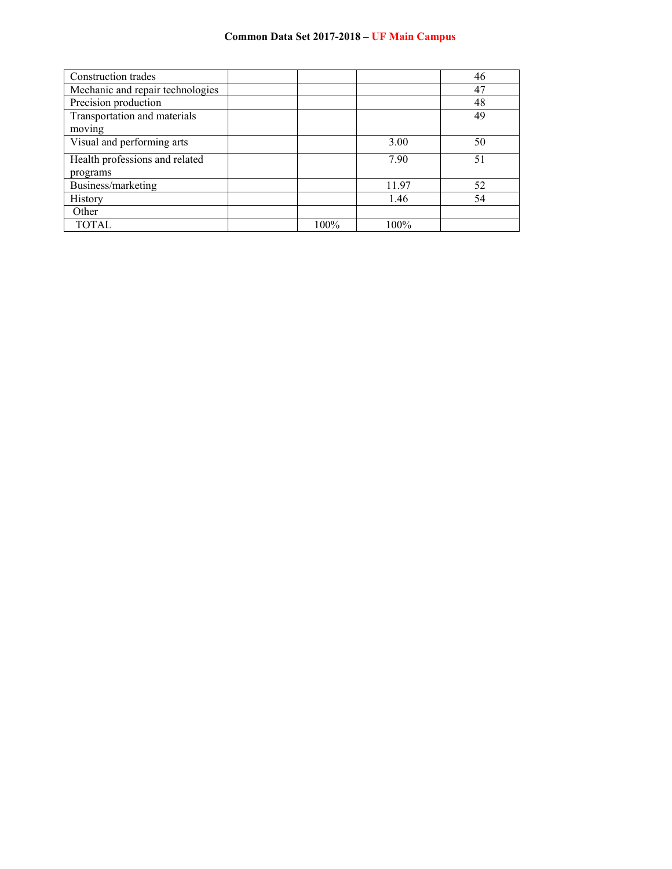| Construction trades              |      |         | 46 |
|----------------------------------|------|---------|----|
| Mechanic and repair technologies |      |         | 47 |
| Precision production             |      |         | 48 |
| Transportation and materials     |      |         | 49 |
| moving                           |      |         |    |
| Visual and performing arts       |      | 3.00    | 50 |
| Health professions and related   |      | 7.90    | 51 |
| programs                         |      |         |    |
| Business/marketing               |      | 11.97   | 52 |
| History                          |      | 1.46    | 54 |
| Other                            |      |         |    |
| <b>TOTAL</b>                     | 100% | $100\%$ |    |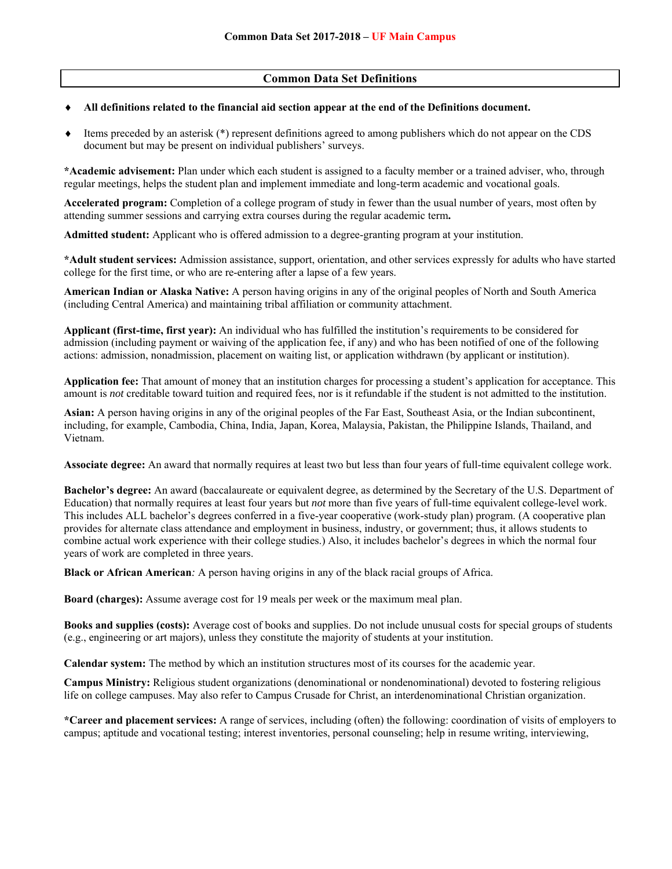## **Common Data Set Definitions**

#### **All definitions related to the financial aid section appear at the end of the Definitions document.**

 Items preceded by an asterisk (\*) represent definitions agreed to among publishers which do not appear on the CDS document but may be present on individual publishers' surveys.

**\*Academic advisement:** Plan under which each student is assigned to a faculty member or a trained adviser, who, through regular meetings, helps the student plan and implement immediate and long-term academic and vocational goals.

**Accelerated program:** Completion of a college program of study in fewer than the usual number of years, most often by attending summer sessions and carrying extra courses during the regular academic term**.** 

**Admitted student:** Applicant who is offered admission to a degree-granting program at your institution.

**\*Adult student services:** Admission assistance, support, orientation, and other services expressly for adults who have started college for the first time, or who are re-entering after a lapse of a few years.

**American Indian or Alaska Native:** A person having origins in any of the original peoples of North and South America (including Central America) and maintaining tribal affiliation or community attachment.

**Applicant (first-time, first year):** An individual who has fulfilled the institution's requirements to be considered for admission (including payment or waiving of the application fee, if any) and who has been notified of one of the following actions: admission, nonadmission, placement on waiting list, or application withdrawn (by applicant or institution).

**Application fee:** That amount of money that an institution charges for processing a student's application for acceptance. This amount is *not* creditable toward tuition and required fees, nor is it refundable if the student is not admitted to the institution.

**Asian:** A person having origins in any of the original peoples of the Far East, Southeast Asia, or the Indian subcontinent, including, for example, Cambodia, China, India, Japan, Korea, Malaysia, Pakistan, the Philippine Islands, Thailand, and Vietnam.

**Associate degree:** An award that normally requires at least two but less than four years of full-time equivalent college work.

**Bachelor's degree:** An award (baccalaureate or equivalent degree, as determined by the Secretary of the U.S. Department of Education) that normally requires at least four years but *not* more than five years of full-time equivalent college-level work. This includes ALL bachelor's degrees conferred in a five-year cooperative (work-study plan) program. (A cooperative plan provides for alternate class attendance and employment in business, industry, or government; thus, it allows students to combine actual work experience with their college studies.) Also, it includes bachelor's degrees in which the normal four years of work are completed in three years.

**Black or African American***:* A person having origins in any of the black racial groups of Africa.

**Board (charges):** Assume average cost for 19 meals per week or the maximum meal plan.

**Books and supplies (costs):** Average cost of books and supplies. Do not include unusual costs for special groups of students (e.g., engineering or art majors), unless they constitute the majority of students at your institution.

**Calendar system:** The method by which an institution structures most of its courses for the academic year.

**Campus Ministry:** Religious student organizations (denominational or nondenominational) devoted to fostering religious life on college campuses. May also refer to Campus Crusade for Christ, an interdenominational Christian organization.

**\*Career and placement services:** A range of services, including (often) the following: coordination of visits of employers to campus; aptitude and vocational testing; interest inventories, personal counseling; help in resume writing, interviewing,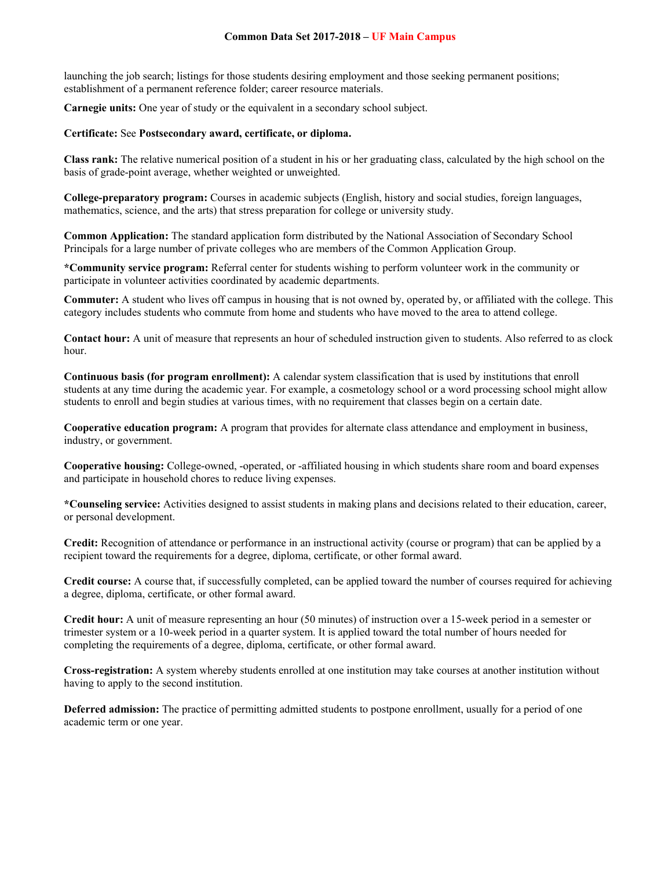launching the job search; listings for those students desiring employment and those seeking permanent positions; establishment of a permanent reference folder; career resource materials.

**Carnegie units:** One year of study or the equivalent in a secondary school subject.

#### **Certificate:** See **Postsecondary award, certificate, or diploma.**

**Class rank:** The relative numerical position of a student in his or her graduating class, calculated by the high school on the basis of grade-point average, whether weighted or unweighted.

**College-preparatory program:** Courses in academic subjects (English, history and social studies, foreign languages, mathematics, science, and the arts) that stress preparation for college or university study.

**Common Application:** The standard application form distributed by the National Association of Secondary School Principals for a large number of private colleges who are members of the Common Application Group.

**\*Community service program:** Referral center for students wishing to perform volunteer work in the community or participate in volunteer activities coordinated by academic departments.

**Commuter:** A student who lives off campus in housing that is not owned by, operated by, or affiliated with the college. This category includes students who commute from home and students who have moved to the area to attend college.

**Contact hour:** A unit of measure that represents an hour of scheduled instruction given to students. Also referred to as clock hour.

**Continuous basis (for program enrollment):** A calendar system classification that is used by institutions that enroll students at any time during the academic year. For example, a cosmetology school or a word processing school might allow students to enroll and begin studies at various times, with no requirement that classes begin on a certain date.

**Cooperative education program:** A program that provides for alternate class attendance and employment in business, industry, or government.

**Cooperative housing:** College-owned, -operated, or -affiliated housing in which students share room and board expenses and participate in household chores to reduce living expenses.

**\*Counseling service:** Activities designed to assist students in making plans and decisions related to their education, career, or personal development.

**Credit:** Recognition of attendance or performance in an instructional activity (course or program) that can be applied by a recipient toward the requirements for a degree, diploma, certificate, or other formal award.

**Credit course:** A course that, if successfully completed, can be applied toward the number of courses required for achieving a degree, diploma, certificate, or other formal award.

**Credit hour:** A unit of measure representing an hour (50 minutes) of instruction over a 15-week period in a semester or trimester system or a 10-week period in a quarter system. It is applied toward the total number of hours needed for completing the requirements of a degree, diploma, certificate, or other formal award.

**Cross-registration:** A system whereby students enrolled at one institution may take courses at another institution without having to apply to the second institution.

**Deferred admission:** The practice of permitting admitted students to postpone enrollment, usually for a period of one academic term or one year.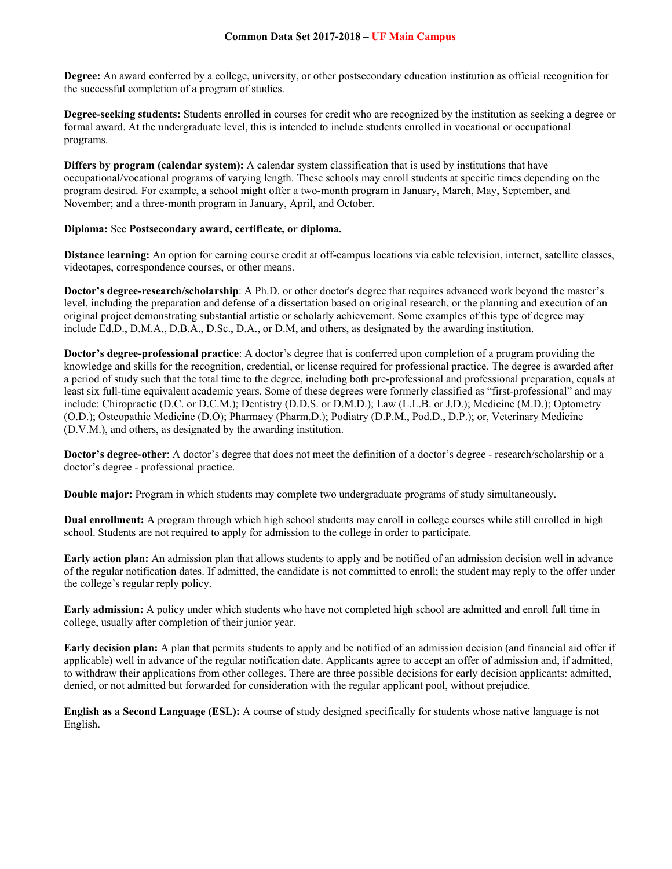**Degree:** An award conferred by a college, university, or other postsecondary education institution as official recognition for the successful completion of a program of studies.

**Degree-seeking students:** Students enrolled in courses for credit who are recognized by the institution as seeking a degree or formal award. At the undergraduate level, this is intended to include students enrolled in vocational or occupational programs.

**Differs by program (calendar system):** A calendar system classification that is used by institutions that have occupational/vocational programs of varying length. These schools may enroll students at specific times depending on the program desired. For example, a school might offer a two-month program in January, March, May, September, and November; and a three-month program in January, April, and October.

#### **Diploma:** See **Postsecondary award, certificate, or diploma.**

**Distance learning:** An option for earning course credit at off-campus locations via cable television, internet, satellite classes, videotapes, correspondence courses, or other means.

**Doctor's degree-research/scholarship**: A Ph.D. or other doctor's degree that requires advanced work beyond the master's level, including the preparation and defense of a dissertation based on original research, or the planning and execution of an original project demonstrating substantial artistic or scholarly achievement. Some examples of this type of degree may include Ed.D., D.M.A., D.B.A., D.Sc., D.A., or D.M, and others, as designated by the awarding institution.

**Doctor's degree-professional practice**: A doctor's degree that is conferred upon completion of a program providing the knowledge and skills for the recognition, credential, or license required for professional practice. The degree is awarded after a period of study such that the total time to the degree, including both pre-professional and professional preparation, equals at least six full-time equivalent academic years. Some of these degrees were formerly classified as "first-professional" and may include: Chiropractic (D.C. or D.C.M.); Dentistry (D.D.S. or D.M.D.); Law (L.L.B. or J.D.); Medicine (M.D.); Optometry (O.D.); Osteopathic Medicine (D.O); Pharmacy (Pharm.D.); Podiatry (D.P.M., Pod.D., D.P.); or, Veterinary Medicine (D.V.M.), and others, as designated by the awarding institution.

**Doctor's degree-other**: A doctor's degree that does not meet the definition of a doctor's degree - research/scholarship or a doctor's degree - professional practice.

**Double major:** Program in which students may complete two undergraduate programs of study simultaneously.

**Dual enrollment:** A program through which high school students may enroll in college courses while still enrolled in high school. Students are not required to apply for admission to the college in order to participate.

**Early action plan:** An admission plan that allows students to apply and be notified of an admission decision well in advance of the regular notification dates. If admitted, the candidate is not committed to enroll; the student may reply to the offer under the college's regular reply policy.

**Early admission:** A policy under which students who have not completed high school are admitted and enroll full time in college, usually after completion of their junior year.

**Early decision plan:** A plan that permits students to apply and be notified of an admission decision (and financial aid offer if applicable) well in advance of the regular notification date. Applicants agree to accept an offer of admission and, if admitted, to withdraw their applications from other colleges. There are three possible decisions for early decision applicants: admitted, denied, or not admitted but forwarded for consideration with the regular applicant pool, without prejudice.

**English as a Second Language (ESL):** A course of study designed specifically for students whose native language is not English.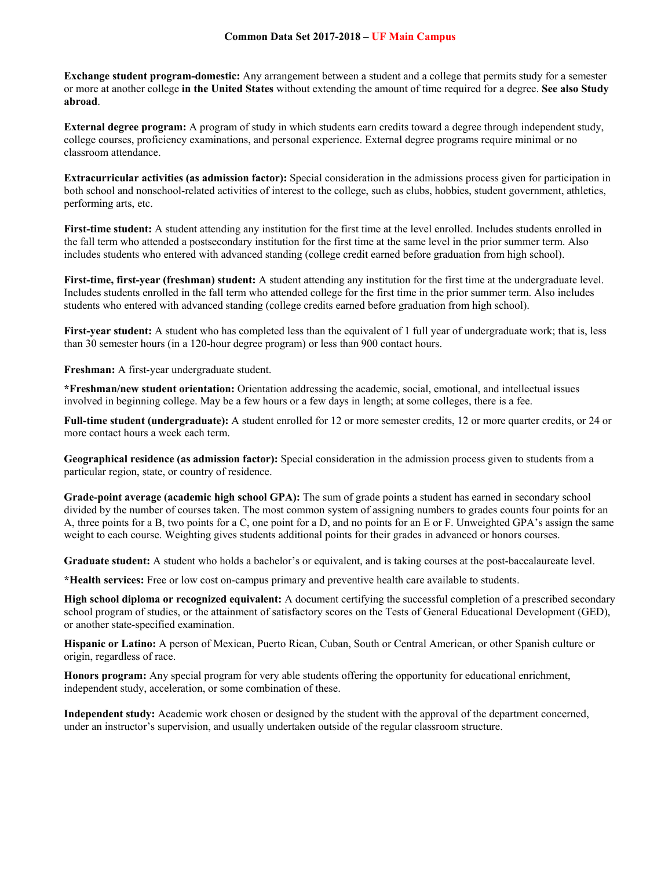**Exchange student program-domestic:** Any arrangement between a student and a college that permits study for a semester or more at another college **in the United States** without extending the amount of time required for a degree. **See also Study abroad**.

**External degree program:** A program of study in which students earn credits toward a degree through independent study, college courses, proficiency examinations, and personal experience. External degree programs require minimal or no classroom attendance.

**Extracurricular activities (as admission factor):** Special consideration in the admissions process given for participation in both school and nonschool-related activities of interest to the college, such as clubs, hobbies, student government, athletics, performing arts, etc.

**First-time student:** A student attending any institution for the first time at the level enrolled. Includes students enrolled in the fall term who attended a postsecondary institution for the first time at the same level in the prior summer term. Also includes students who entered with advanced standing (college credit earned before graduation from high school).

**First-time, first-year (freshman) student:** A student attending any institution for the first time at the undergraduate level. Includes students enrolled in the fall term who attended college for the first time in the prior summer term. Also includes students who entered with advanced standing (college credits earned before graduation from high school).

**First-year student:** A student who has completed less than the equivalent of 1 full year of undergraduate work; that is, less than 30 semester hours (in a 120-hour degree program) or less than 900 contact hours.

**Freshman:** A first-year undergraduate student.

**\*Freshman/new student orientation:** Orientation addressing the academic, social, emotional, and intellectual issues involved in beginning college. May be a few hours or a few days in length; at some colleges, there is a fee.

**Full-time student (undergraduate):** A student enrolled for 12 or more semester credits, 12 or more quarter credits, or 24 or more contact hours a week each term.

**Geographical residence (as admission factor):** Special consideration in the admission process given to students from a particular region, state, or country of residence.

**Grade-point average (academic high school GPA):** The sum of grade points a student has earned in secondary school divided by the number of courses taken. The most common system of assigning numbers to grades counts four points for an A, three points for a B, two points for a C, one point for a D, and no points for an E or F. Unweighted GPA's assign the same weight to each course. Weighting gives students additional points for their grades in advanced or honors courses.

**Graduate student:** A student who holds a bachelor's or equivalent, and is taking courses at the post-baccalaureate level.

**\*Health services:** Free or low cost on-campus primary and preventive health care available to students.

**High school diploma or recognized equivalent:** A document certifying the successful completion of a prescribed secondary school program of studies, or the attainment of satisfactory scores on the Tests of General Educational Development (GED), or another state-specified examination.

**Hispanic or Latino:** A person of Mexican, Puerto Rican, Cuban, South or Central American, or other Spanish culture or origin, regardless of race.

**Honors program:** Any special program for very able students offering the opportunity for educational enrichment, independent study, acceleration, or some combination of these.

**Independent study:** Academic work chosen or designed by the student with the approval of the department concerned, under an instructor's supervision, and usually undertaken outside of the regular classroom structure.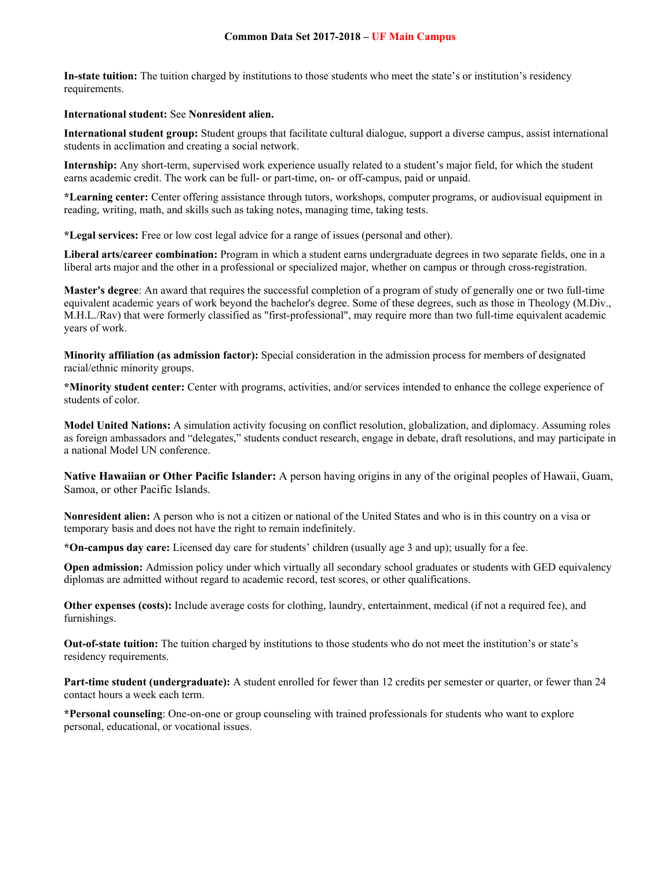**In-state tuition:** The tuition charged by institutions to those students who meet the state's or institution's residency requirements.

#### **International student:** See **Nonresident alien.**

**International student group:** Student groups that facilitate cultural dialogue, support a diverse campus, assist international students in acclimation and creating a social network.

**Internship:** Any short-term, supervised work experience usually related to a student's major field, for which the student earns academic credit. The work can be full- or part-time, on- or off-campus, paid or unpaid.

**\*Learning center:** Center offering assistance through tutors, workshops, computer programs, or audiovisual equipment in reading, writing, math, and skills such as taking notes, managing time, taking tests.

**\*Legal services:** Free or low cost legal advice for a range of issues (personal and other).

**Liberal arts/career combination:** Program in which a student earns undergraduate degrees in two separate fields, one in a liberal arts major and the other in a professional or specialized major, whether on campus or through cross-registration.

**Master's degree**: An award that requires the successful completion of a program of study of generally one or two full-time equivalent academic years of work beyond the bachelor's degree. Some of these degrees, such as those in Theology (M.Div., M.H.L./Rav) that were formerly classified as "first-professional", may require more than two full-time equivalent academic years of work.

**Minority affiliation (as admission factor):** Special consideration in the admission process for members of designated racial/ethnic minority groups.

**\*Minority student center:** Center with programs, activities, and/or services intended to enhance the college experience of students of color.

**Model United Nations:** A simulation activity focusing on conflict resolution, globalization, and diplomacy. Assuming roles as foreign ambassadors and "delegates," students conduct research, engage in debate, draft resolutions, and may participate in a national Model UN conference.

**Native Hawaiian or Other Pacific Islander:** A person having origins in any of the original peoples of Hawaii, Guam, Samoa, or other Pacific Islands.

**Nonresident alien:** A person who is not a citizen or national of the United States and who is in this country on a visa or temporary basis and does not have the right to remain indefinitely.

**\*On-campus day care:** Licensed day care for students' children (usually age 3 and up); usually for a fee.

**Open admission:** Admission policy under which virtually all secondary school graduates or students with GED equivalency diplomas are admitted without regard to academic record, test scores, or other qualifications.

**Other expenses (costs):** Include average costs for clothing, laundry, entertainment, medical (if not a required fee), and furnishings.

**Out-of-state tuition:** The tuition charged by institutions to those students who do not meet the institution's or state's residency requirements.

**Part-time student (undergraduate):** A student enrolled for fewer than 12 credits per semester or quarter, or fewer than 24 contact hours a week each term.

**\*Personal counseling**: One-on-one or group counseling with trained professionals for students who want to explore personal, educational, or vocational issues.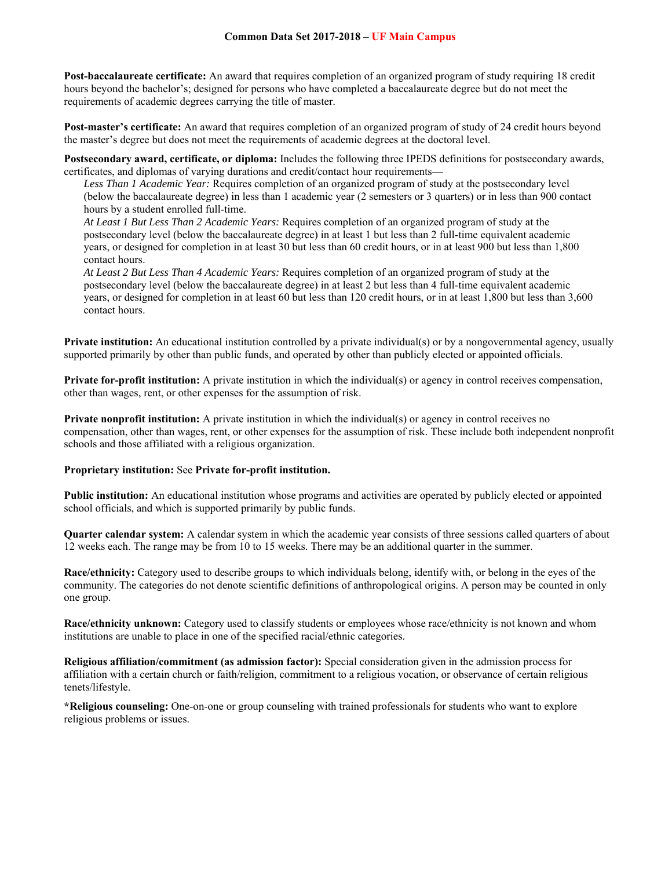**Post-baccalaureate certificate:** An award that requires completion of an organized program of study requiring 18 credit hours beyond the bachelor's; designed for persons who have completed a baccalaureate degree but do not meet the requirements of academic degrees carrying the title of master.

**Post-master's certificate:** An award that requires completion of an organized program of study of 24 credit hours beyond the master's degree but does not meet the requirements of academic degrees at the doctoral level.

**Postsecondary award, certificate, or diploma:** Includes the following three IPEDS definitions for postsecondary awards, certificates, and diplomas of varying durations and credit/contact hour requirements—

*Less Than 1 Academic Year:* Requires completion of an organized program of study at the postsecondary level (below the baccalaureate degree) in less than 1 academic year (2 semesters or 3 quarters) or in less than 900 contact hours by a student enrolled full-time.

*At Least 1 But Less Than 2 Academic Years:* Requires completion of an organized program of study at the postsecondary level (below the baccalaureate degree) in at least 1 but less than 2 full-time equivalent academic years, or designed for completion in at least 30 but less than 60 credit hours, or in at least 900 but less than 1,800 contact hours.

*At Least 2 But Less Than 4 Academic Years:* Requires completion of an organized program of study at the postsecondary level (below the baccalaureate degree) in at least 2 but less than 4 full-time equivalent academic years, or designed for completion in at least 60 but less than 120 credit hours, or in at least 1,800 but less than 3,600 contact hours.

**Private institution:** An educational institution controlled by a private individual(s) or by a nongovernmental agency, usually supported primarily by other than public funds, and operated by other than publicly elected or appointed officials.

**Private for-profit institution:** A private institution in which the individual(s) or agency in control receives compensation, other than wages, rent, or other expenses for the assumption of risk.

**Private nonprofit institution:** A private institution in which the individual(s) or agency in control receives no compensation, other than wages, rent, or other expenses for the assumption of risk. These include both independent nonprofit schools and those affiliated with a religious organization.

#### **Proprietary institution:** See **Private for-profit institution.**

**Public institution:** An educational institution whose programs and activities are operated by publicly elected or appointed school officials, and which is supported primarily by public funds.

**Quarter calendar system:** A calendar system in which the academic year consists of three sessions called quarters of about 12 weeks each. The range may be from 10 to 15 weeks. There may be an additional quarter in the summer.

**Race/ethnicity:** Category used to describe groups to which individuals belong, identify with, or belong in the eyes of the community. The categories do not denote scientific definitions of anthropological origins. A person may be counted in only one group.

**Race/ethnicity unknown:** Category used to classify students or employees whose race/ethnicity is not known and whom institutions are unable to place in one of the specified racial/ethnic categories.

**Religious affiliation/commitment (as admission factor):** Special consideration given in the admission process for affiliation with a certain church or faith/religion, commitment to a religious vocation, or observance of certain religious tenets/lifestyle.

**\*Religious counseling:** One-on-one or group counseling with trained professionals for students who want to explore religious problems or issues.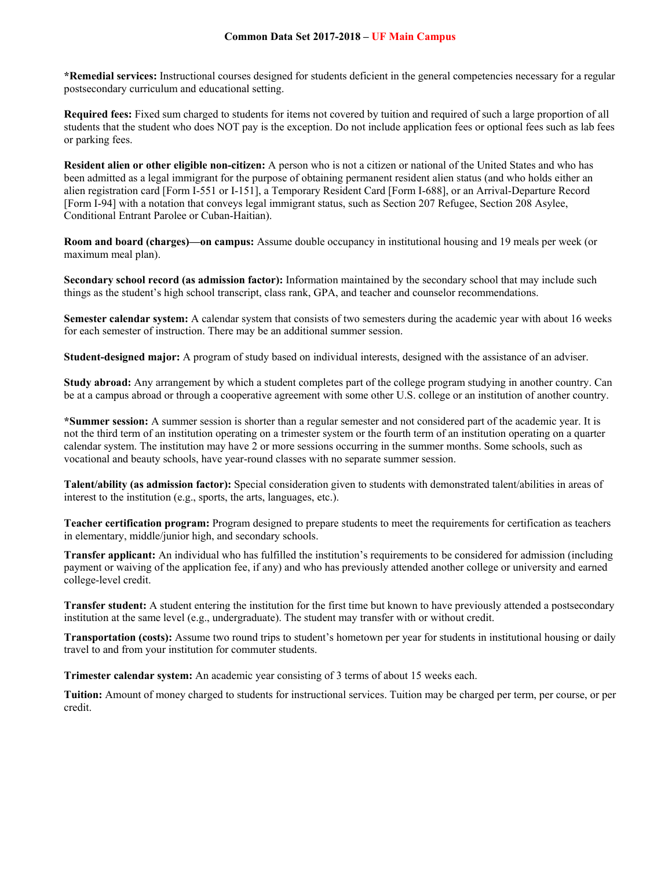**\*Remedial services:** Instructional courses designed for students deficient in the general competencies necessary for a regular postsecondary curriculum and educational setting.

**Required fees:** Fixed sum charged to students for items not covered by tuition and required of such a large proportion of all students that the student who does NOT pay is the exception. Do not include application fees or optional fees such as lab fees or parking fees.

**Resident alien or other eligible non-citizen:** A person who is not a citizen or national of the United States and who has been admitted as a legal immigrant for the purpose of obtaining permanent resident alien status (and who holds either an alien registration card [Form I-551 or I-151], a Temporary Resident Card [Form I-688], or an Arrival-Departure Record [Form I-94] with a notation that conveys legal immigrant status, such as Section 207 Refugee, Section 208 Asylee, Conditional Entrant Parolee or Cuban-Haitian).

**Room and board (charges)—on campus:** Assume double occupancy in institutional housing and 19 meals per week (or maximum meal plan).

**Secondary school record (as admission factor):** Information maintained by the secondary school that may include such things as the student's high school transcript, class rank, GPA, and teacher and counselor recommendations.

**Semester calendar system:** A calendar system that consists of two semesters during the academic year with about 16 weeks for each semester of instruction. There may be an additional summer session.

**Student-designed major:** A program of study based on individual interests, designed with the assistance of an adviser.

**Study abroad:** Any arrangement by which a student completes part of the college program studying in another country. Can be at a campus abroad or through a cooperative agreement with some other U.S. college or an institution of another country.

**\*Summer session:** A summer session is shorter than a regular semester and not considered part of the academic year. It is not the third term of an institution operating on a trimester system or the fourth term of an institution operating on a quarter calendar system. The institution may have 2 or more sessions occurring in the summer months. Some schools, such as vocational and beauty schools, have year-round classes with no separate summer session.

**Talent/ability (as admission factor):** Special consideration given to students with demonstrated talent/abilities in areas of interest to the institution (e.g., sports, the arts, languages, etc.).

**Teacher certification program:** Program designed to prepare students to meet the requirements for certification as teachers in elementary, middle/junior high, and secondary schools.

**Transfer applicant:** An individual who has fulfilled the institution's requirements to be considered for admission (including payment or waiving of the application fee, if any) and who has previously attended another college or university and earned college-level credit.

**Transfer student:** A student entering the institution for the first time but known to have previously attended a postsecondary institution at the same level (e.g., undergraduate). The student may transfer with or without credit.

**Transportation (costs):** Assume two round trips to student's hometown per year for students in institutional housing or daily travel to and from your institution for commuter students.

**Trimester calendar system:** An academic year consisting of 3 terms of about 15 weeks each.

**Tuition:** Amount of money charged to students for instructional services. Tuition may be charged per term, per course, or per credit.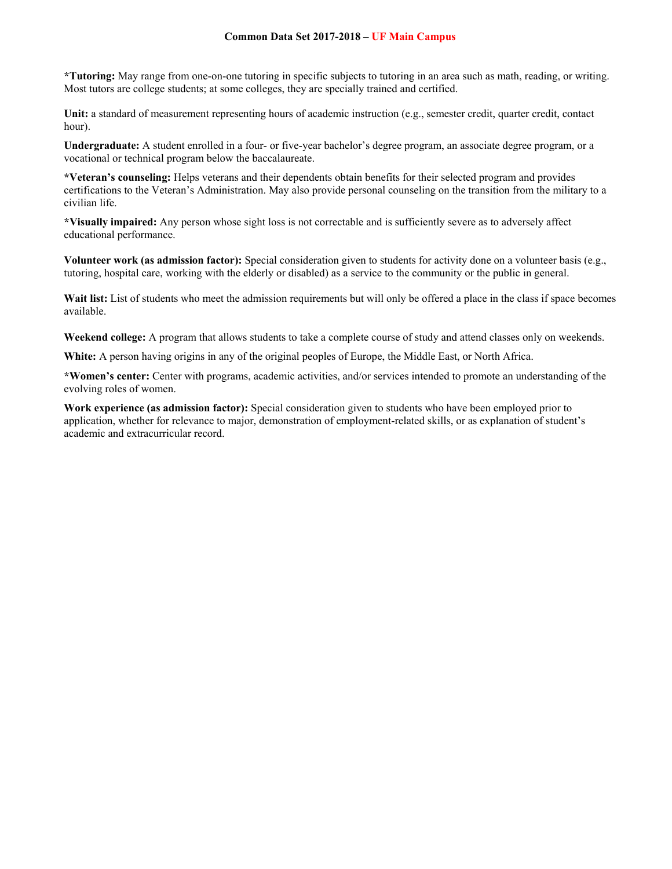**\*Tutoring:** May range from one-on-one tutoring in specific subjects to tutoring in an area such as math, reading, or writing. Most tutors are college students; at some colleges, they are specially trained and certified.

**Unit:** a standard of measurement representing hours of academic instruction (e.g., semester credit, quarter credit, contact hour).

**Undergraduate:** A student enrolled in a four- or five-year bachelor's degree program, an associate degree program, or a vocational or technical program below the baccalaureate.

**\*Veteran's counseling:** Helps veterans and their dependents obtain benefits for their selected program and provides certifications to the Veteran's Administration. May also provide personal counseling on the transition from the military to a civilian life.

**\*Visually impaired:** Any person whose sight loss is not correctable and is sufficiently severe as to adversely affect educational performance.

**Volunteer work (as admission factor):** Special consideration given to students for activity done on a volunteer basis (e.g., tutoring, hospital care, working with the elderly or disabled) as a service to the community or the public in general.

Wait list: List of students who meet the admission requirements but will only be offered a place in the class if space becomes available.

**Weekend college:** A program that allows students to take a complete course of study and attend classes only on weekends.

**White:** A person having origins in any of the original peoples of Europe, the Middle East, or North Africa.

**\*Women's center:** Center with programs, academic activities, and/or services intended to promote an understanding of the evolving roles of women.

**Work experience (as admission factor):** Special consideration given to students who have been employed prior to application, whether for relevance to major, demonstration of employment-related skills, or as explanation of student's academic and extracurricular record.